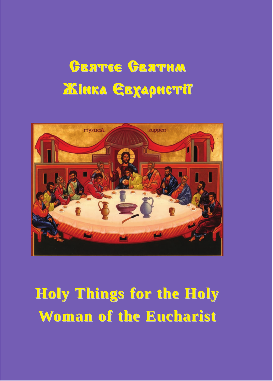# **GEATEE GEATHM Жінка Евхаристії**



# **Holy Things for the Holy Things for the Holy Woman of the Eucharist an of the Eucharist**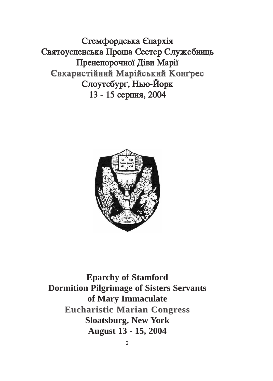Стемфордська Єпархія Святоуспенська Проща Сестер Служебниць Пренепорочної Діви Марії Євхаристійний Марійський Конґрес Слоутсбург, Нью-Йорк 13 - 15 серпня, 2004



**Eparchy of Stamford Dormition Pilgrimage of Sisters Servants of Mary Immaculate Eucharistic Marian Congress aristic Marian Congress Sloatsburg, New York August 13 - 15, 2004**

 $\overline{2}$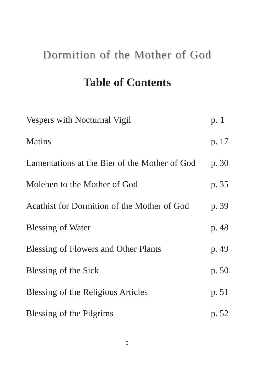## Dormition of the Mother of God

## **Table of Contents**

| Vespers with Nocturnal Vigil                  | p.1   |
|-----------------------------------------------|-------|
| <b>Matins</b>                                 | p. 17 |
| Lamentations at the Bier of the Mother of God | p. 30 |
| Moleben to the Mother of God                  | p. 35 |
| Acathist for Dormition of the Mother of God   | p. 39 |
| <b>Blessing of Water</b>                      | p. 48 |
| <b>Blessing of Flowers and Other Plants</b>   | p. 49 |
| Blessing of the Sick                          | p.50  |
| Blessing of the Religious Articles            | p. 51 |
| Blessing of the Pilgrims                      | p. 52 |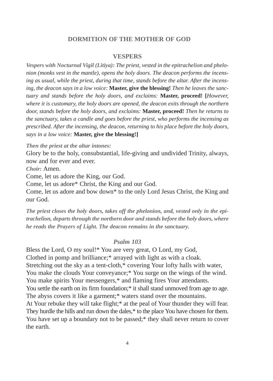## **DORMITION OF THE MOTHER OF GOD**

#### **VESPERS**

*Vespers with Nocturnal Vigil (Litiya): The priest, vested in the epitrachelion and phelonion (monks vest in the mantle), opens the holy doors. The deacon performs the incensing as usual, while the priest, during that time, stands before the altar. After the incensing, the deacon says in a low voice:* **Master, give the blessing!** *Then he leaves the sanctuary and stands before the holy doors, and exclaims:* **Master, proceed! [***However, where it is customary, the holy doors are opened, the deacon exits through the northern door, stands before the holy doors, and exclaims:* **Master, proceed!** *Then he returns to the sanctuary, takes a candle and goes before the priest, who performs the incensing as prescribed. After the incensing, the deacon, returning to his place before the holy doors, says in a low voice:* **Master, give the blessing!]**

*Then the priest at the altar intones:*

Glory be to the holy, consubstantial, life-giving and undivided Trinity, always, now and for ever and ever.

*Choir:* Amen.

Come, let us adore the King, our God.

Come, let us adore\* Christ, the King and our God.

Come, let us adore and bow down\* to the only Lord Jesus Christ, the King and our God.

*The priest closes the holy doors, takes off the phelonion, and, vested only in the epitrachelion, departs through the northern door and stands before the holy doors, where he reads the Prayers of Light. The deacon remains in the sanctuary.*

### *Psalm 103*

Bless the Lord, O my soul!\* You are very great, O Lord, my God, Clothed in pomp and brilliance;\* arrayed with light as with a cloak. Stretching out the sky as a tent-cloth,\* covering Your lofty halls with water, You make the clouds Your conveyance;\* You surge on the wings of the wind. You make spirits Your messengers,\* and flaming fires Your attendants. You settle the earth on its firm foundation;\* it shall stand unmoved from age to age. The abyss covers it like a garment;\* waters stand over the mountains. At Your rebuke they will take flight;\* at the peal of Your thunder they will fear. They hurdle the hills and run down the dales,\* to the place You have chosen for them. You have set up a boundary not to be passed;\* they shall never return to cover the earth.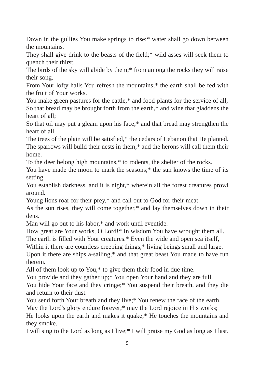Down in the gullies You make springs to rise;\* water shall go down between the mountains.

They shall give drink to the beasts of the field;\* wild asses will seek them to quench their thirst.

The birds of the sky will abide by them;\* from among the rocks they will raise their song.

From Your lofty halls You refresh the mountains;\* the earth shall be fed with the fruit of Your works.

You make green pastures for the cattle,\* and food-plants for the service of all, So that bread may be brought forth from the earth,\* and wine that gladdens the heart of all;

So that oil may put a gleam upon his face;\* and that bread may strengthen the heart of all.

The trees of the plain will be satisfied,\* the cedars of Lebanon that He planted. The sparrows will build their nests in them;\* and the herons will call them their home.

To the deer belong high mountains,\* to rodents, the shelter of the rocks.

You have made the moon to mark the seasons;\* the sun knows the time of its setting.

You establish darkness, and it is night,\* wherein all the forest creatures prowl around.

Young lions roar for their prey,\* and call out to God for their meat.

As the sun rises, they will come together,\* and lay themselves down in their dens.

Man will go out to his labor,\* and work until eventide.

How great are Your works, O Lord!\* In wisdom You have wrought them all. The earth is filled with Your creatures.\* Even the wide and open sea itself,

Within it there are countless creeping things,\* living beings small and large. Upon it there are ships a-sailing,\* and that great beast You made to have fun therein.

All of them look up to You,\* to give them their food in due time.

You provide and they gather up;\* You open Your hand and they are full.

You hide Your face and they cringe;\* You suspend their breath, and they die and return to their dust.

You send forth Your breath and they live;\* You renew the face of the earth. May the Lord's glory endure forever;\* may the Lord rejoice in His works:

He looks upon the earth and makes it quake;\* He touches the mountains and they smoke.

I will sing to the Lord as long as I live;\* I will praise my God as long as I last.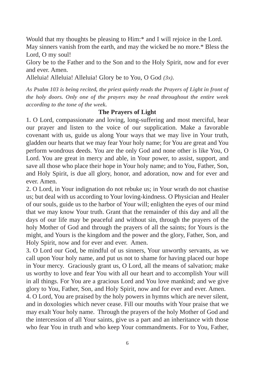Would that my thoughts be pleasing to Him:\* and I will rejoice in the Lord.

May sinners vanish from the earth, and may the wicked be no more.\* Bless the Lord, O my soul!

Glory be to the Father and to the Son and to the Holy Spirit, now and for ever and ever. Amen.

Alleluia! Alleluia! Alleluia! Glory be to You, O God *(3x).*

*As Psalm 103 is being recited, the priest quietly reads the Prayers of Light in front of the holy doors. Only one of the prayers may be read throughout the entire week according to the tone of the week.*

## **The Prayers of Light**

**1.** O Lord, compassionate and loving, long-suffering and most merciful, hear our prayer and listen to the voice of our supplication. Make a favorable covenant with us, guide us along Your ways that we may live in Your truth, gladden our hearts that we may fear Your holy name; for You are great and You perform wondrous deeds. You are the only God and none other is like You, O Lord. You are great in mercy and able, in Your power, to assist, support, and save all those who place their hope in Your holy name; and to You, Father, Son, and Holy Spirit, is due all glory, honor, and adoration, now and for ever and ever. Amen.

**2.** O Lord, in Your indignation do not rebuke us; in Your wrath do not chastise us; but deal with us according to Your loving-kindness. O Physician and Healer of our souls, guide us to the harbor of Your will; enlighten the eyes of our mind that we may know Your truth. Grant that the remainder of this day and all the days of our life may be peaceful and without sin, through the prayers of the holy Mother of God and through the prayers of all the saints; for Yours is the might, and Yours is the kingdom and the power and the glory, Father, Son, and Holy Spirit, now and for ever and ever. Amen.

**3.** O Lord our God, be mindful of us sinners, Your unworthy servants, as we call upon Your holy name, and put us not to shame for having placed our hope in Your mercy. Graciously grant us, O Lord, all the means of salvation; make us worthy to love and fear You with all our heart and to accomplish Your will in all things. For You are a gracious Lord and You love mankind; and we give glory to You, Father, Son, and Holy Spirit, now and for ever and ever. Amen.

**4.** O Lord, You are praised by the holy powers in hymns which are never silent, and in doxologies which never cease. Fill our mouths with Your praise that we may exalt Your holy name. Through the prayers of the holy Mother of God and the intercession of all Your saints, give us a part and an inheritance with those who fear You in truth and who keep Your commandments. For to You, Father,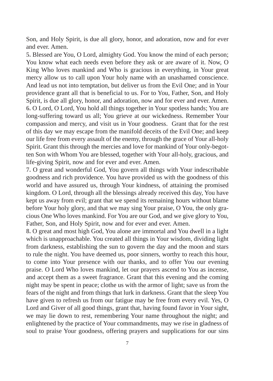Son, and Holy Spirit, is due all glory, honor, and adoration, now and for ever and ever. Amen.

**5.** Blessed are You, O Lord, almighty God. You know the mind of each person; You know what each needs even before they ask or are aware of it. Now, O King Who loves mankind and Who is gracious in everything, in Your great mercy allow us to call upon Your holy name with an unashamed conscience. And lead us not into temptation, but deliver us from the Evil One; and in Your providence grant all that is beneficial to us. For to You, Father, Son, and Holy Spirit, is due all glory, honor, and adoration, now and for ever and ever. Amen. **6.** O Lord, O Lord, You hold all things together in Your spotless hands; You are long-suffering toward us all; You grieve at our wickedness. Remember Your compassion and mercy, and visit us in Your goodness. Grant that for the rest of this day we may escape from the manifold deceits of the Evil One; and keep our life free from every assault of the enemy, through the grace of Your all-holy Spirit. Grant this through the mercies and love for mankind of Your only-begotten Son with Whom You are blessed, together with Your all-holy, gracious, and life-giving Spirit, now and for ever and ever. Amen.

**7.** O great and wonderful God, You govern all things with Your indescribable goodness and rich providence. You have provided us with the goodness of this world and have assured us, through Your kindness, of attaining the promised kingdom. O Lord, through all the blessings already received this day, You have kept us away from evil; grant that we spend its remaining hours without blame before Your holy glory, and that we may sing Your praise, O You, the only gracious One Who loves mankind. For You are our God, and we give glory to You, Father, Son, and Holy Spirit, now and for ever and ever. Amen.

**8.** O great and most high God, You alone are immortal and You dwell in a light which is unapproachable. You created all things in Your wisdom, dividing light from darkness, establishing the sun to govern the day and the moon and stars to rule the night. You have deemed us, poor sinners, worthy to reach this hour, to come into Your presence with our thanks, and to offer You our evening praise. O Lord Who loves mankind, let our prayers ascend to You as incense, and accept them as a sweet fragrance. Grant that this evening and the coming night may be spent in peace; clothe us with the armor of light; save us from the fears of the night and from things that lurk in darkness. Grant that the sleep You have given to refresh us from our fatigue may be free from every evil. Yes, O Lord and Giver of all good things, grant that, having found favor in Your sight, we may lie down to rest, remembering Your name throughout the night; and enlightened by the practice of Your commandments, may we rise in gladness of soul to praise Your goodness, offering prayers and supplications for our sins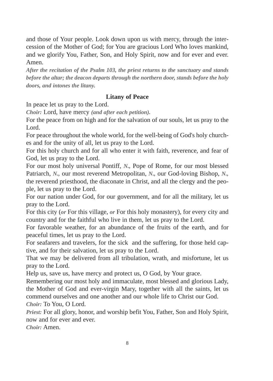and those of Your people. Look down upon us with mercy, through the intercession of the Mother of God; for You are gracious Lord Who loves mankind, and we glorify You, Father, Son, and Holy Spirit, now and for ever and ever. Amen.

*After the recitation of the Psalm 103, the priest returns to the sanctuary and stands before the altar; the deacon departs through the northern door, stands before the holy doors, and intones the litany.* 

## **Litany of Peace**

In peace let us pray to the Lord.

*Choir:* Lord, have mercy *(and after each petition).*

For the peace from on high and for the salvation of our souls, let us pray to the Lord.

For peace throughout the whole world, for the well-being of God's holy churches and for the unity of all, let us pray to the Lord.

For this holy church and for all who enter it with faith, reverence, and fear of God, let us pray to the Lord.

For our most holy universal Pontiff, *N.,* Pope of Rome, for our most blessed Patriarch, *N.,* our most reverend Metropolitan, *N.,* our God-loving Bishop, *N.,* the reverend priesthood, the diaconate in Christ, and all the clergy and the people, let us pray to the Lord.

For our nation under God, for our government, and for all the military, let us pray to the Lord.

For this city (*or* For this village, *or* For this holy monastery), for every city and country and for the faithful who live in them, let us pray to the Lord.

For favorable weather, for an abundance of the fruits of the earth, and for peaceful times, let us pray to the Lord.

For seafarers and travelers, for the sick and the suffering, for those held captive, and for their salvation, let us pray to the Lord.

That we may be delivered from all tribulation, wrath, and misfortune, let us pray to the Lord.

Help us, save us, have mercy and protect us, O God, by Your grace.

Remembering our most holy and immaculate, most blessed and glorious Lady, the Mother of God and ever-virgin Mary, together with all the saints, let us commend ourselves and one another and our whole life to Christ our God. *Choir:* To You, O Lord.

*Priest:* For all glory, honor, and worship befit You, Father, Son and Holy Spirit, now and for ever and ever.

*Choir:* Amen.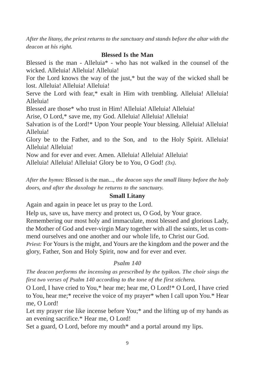*After the litany, the priest returns to the sanctuary and stands before the altar with the deacon at his right.*

## **Blessed Is the Man**

Blessed is the man - Alleluia\* - who has not walked in the counsel of the wicked. Alleluia! Alleluia! Alleluia!

For the Lord knows the way of the just,\* but the way of the wicked shall be lost. Alleluia! Alleluia! Alleluia!

Serve the Lord with fear,\* exalt in Him with trembling. Alleluia! Alleluia! Alleluia!

Blessed are those\* who trust in Him! Alleluia! Alleluia! Alleluia!

Arise, O Lord,\* save me, my God. Alleluia! Alleluia! Alleluia!

Salvation is of the Lord!\* Upon Your people Your blessing. Alleluia! Alleluia! Alleluia!

Glory be to the Father, and to the Son, and to the Holy Spirit. Alleluia! Alleluia! Alleluia!

Now and for ever and ever. Amen. Alleluia! Alleluia! Alleluia!

Alleluia! Alleluia! Alleluia! Glory be to You, O God! *(3x).*

*After the hymn:* Blessed is the man...*, the deacon says the small litany before the holy doors, and after the doxology he returns to the sanctuary.*

### **Small Litany**

Again and again in peace let us pray to the Lord.

Help us, save us, have mercy and protect us, O God, by Your grace.

Remembering our most holy and immaculate, most blessed and glorious Lady, the Mother of God and ever-virgin Mary together with all the saints, let us commend ourselves and one another and our whole life, to Christ our God.

*Priest:* For Yours is the might, and Yours are the kingdom and the power and the glory, Father, Son and Holy Spirit, now and for ever and ever.

## *Psalm 140*

*The deacon performs the incensing as prescribed by the typikon. The choir sings the first two verses of Psalm 140 according to the tone of the first stichera.*

O Lord, I have cried to You,\* hear me; hear me, O Lord!\* O Lord, I have cried to You, hear me;\* receive the voice of my prayer\* when I call upon You.\* Hear me, O Lord!

Let my prayer rise like incense before You;\* and the lifting up of my hands as an evening sacrifice.\* Hear me, O Lord!

Set a guard, O Lord, before my mouth\* and a portal around my lips.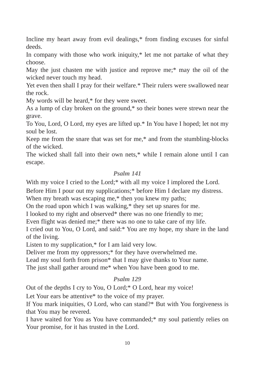Incline my heart away from evil dealings,\* from finding excuses for sinful deeds.

In company with those who work iniquity,\* let me not partake of what they choose.

May the just chasten me with justice and reprove me;\* may the oil of the wicked never touch my head.

Yet even then shall I pray for their welfare.\* Their rulers were swallowed near the rock.

My words will be heard,\* for they were sweet.

As a lump of clay broken on the ground,\* so their bones were strewn near the grave.

To You, Lord, O Lord, my eyes are lifted up.\* In You have I hoped; let not my soul be lost.

Keep me from the snare that was set for me,\* and from the stumbling-blocks of the wicked.

The wicked shall fall into their own nets,\* while I remain alone until I can escape.

## *Psalm 141*

With my voice I cried to the Lord;\* with all my voice I implored the Lord.

Before Him I pour out my supplications;\* before Him I declare my distress.

When my breath was escaping me,\* then you knew my paths;

On the road upon which I was walking,\* they set up snares for me.

I looked to my right and observed\* there was no one friendly to me;

Even flight was denied me;\* there was no one to take care of my life.

I cried out to You, O Lord, and said:\* You are my hope, my share in the land of the living.

Listen to my supplication,\* for I am laid very low.

Deliver me from my oppressors;\* for they have overwhelmed me.

Lead my soul forth from prison\* that I may give thanks to Your name.

The just shall gather around me\* when You have been good to me.

## *Psalm 129*

Out of the depths I cry to You, O Lord;\* O Lord, hear my voice!

Let Your ears be attentive<sup>\*</sup> to the voice of my prayer.

If You mark iniquities, O Lord, who can stand?\* But with You forgiveness is that You may be revered.

I have waited for You as You have commanded;\* my soul patiently relies on Your promise, for it has trusted in the Lord.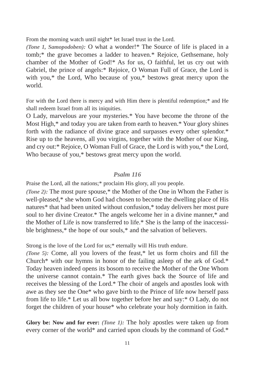From the morning watch until night\* let Israel trust in the Lord.

*(Tone 1, Samopodoben):* O what a wonder!\* The Source of life is placed in a tomb;\* the grave becomes a ladder to heaven.\* Rejoice, Gethsemane, holy chamber of the Mother of God!\* As for us, O faithful, let us cry out with Gabriel, the prince of angels:\* Rejoice, O Woman Full of Grace, the Lord is with you,\* the Lord, Who because of you,\* bestows great mercy upon the world.

For with the Lord there is mercy and with Him there is plentiful redemption;\* and He shall redeem Israel from all its iniquities.

O Lady, marvelous are your mysteries.\* You have become the throne of the Most High,\* and today you are taken from earth to heaven.\* Your glory shines forth with the radiance of divine grace and surpasses every other splendor.\* Rise up to the heavens, all you virgins, together with the Mother of our King, and cry out:\* Rejoice, O Woman Full of Grace, the Lord is with you,\* the Lord, Who because of you,\* bestows great mercy upon the world.

## *Psalm 116*

Praise the Lord, all the nations;\* proclaim His glory, all you people.

*(Tone 2):* The most pure spouse,\* the Mother of the One in Whom the Father is well-pleased,\* she whom God had chosen to become the dwelling place of His natures\* that had been united without confusion,\* today delivers her most pure soul to her divine Creator.\* The angels welcome her in a divine manner,\* and the Mother of Life is now transferred to life.\* She is the lamp of the inaccessible brightness,\* the hope of our souls,\* and the salvation of believers.

Strong is the love of the Lord for us;\* eternally will His truth endure.

*(Tone 5):* Come, all you lovers of the feast,\* let us form choirs and fill the Church\* with our hymns in honor of the failing asleep of the ark of God.\* Today heaven indeed opens its bosom to receive the Mother of the One Whom the universe cannot contain.\* The earth gives back the Source of life and receives the blessing of the Lord.\* The choir of angels and apostles look with awe as they see the One\* who gave birth to the Prince of life now herself pass from life to life.\* Let us all bow together before her and say:\* O Lady, do not forget the children of your house\* who celebrate your holy dormition in faith.

**Glory be: Now and for ever:** *(Tone 1):* The holy apostles were taken up from every corner of the world\* and carried upon clouds by the command of God.\*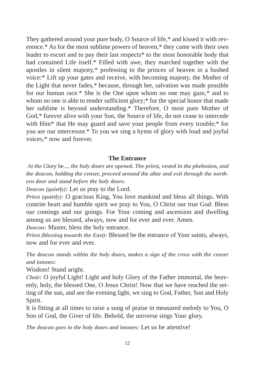They gathered around your pure body, O Source of life,\* and kissed it with reverence.\* As for the most sublime powers of heaven,\* they came with their own leader to escort and to pay their last respects\* to the most honorable body that had contained Life itself.\* Filled with awe, they marched together with the apostles in silent majesty,\* professing to the princes of heaven in a hushed voice:\* Lift up your gates and receive, with becoming majesty, the Mother of the Light that never fades,\* because, through her, salvation was made possible for our human race.\* She is the One upon whom no one may gaze,\* and to whom no one is able to render sufficient glory;<sup>\*</sup> for the special honor that made her sublime is beyond understanding.\* Therefore, O most pure Mother of God,\* forever alive with your Son, the Source of life, do not cease to intercede with Him<sup>\*</sup> that He may guard and save your people from every trouble;<sup>\*</sup> for you are our intercessor.\* To you we sing a hymn of glory with loud and joyful voices,\* now and forever.

## **The Entrance**

*At the* Glory be..., *the holy doors are opened. The priest, vested in the phelonion, and the deacon, holding the censer, proceed around the altar and exit through the northern door and stand before the holy doors.* 

*Deacon (quietly):* Let us pray to the Lord.

*Priest (quietly):* O gracious King, You love mankind and bless all things. With contrite heart and humble spirit we pray to You, O Christ our true God: Bless our comings and our goings. For Your coming and ascension and dwelling among us are blessed, always, now and for ever and ever. Amen.

*Deacon:* Master, bless the holy entrance.

*Priest (blessing towards the East):* Blessed be the entrance of Your saints, always, now and for ever and ever.

*The deacon stands within the holy doors, makes a sign of the cross with the censer and intones:*

Wisdom! Stand aright.

*Choir:* O joyful Light! Light and holy Glory of the Father immortal, the heavenly, holy, the blessed One, O Jesus Christ! Now that we have reached the setting of the sun, and see the evening light, we sing to God, Father, Son and Holy Spirit.

It is fitting at all times to raise a song of praise in measured melody to You, O Son of God, the Giver of life. Behold, the universe sings Your glory.

*The deacon goes to the holy doors and intones:* Let us be attentive!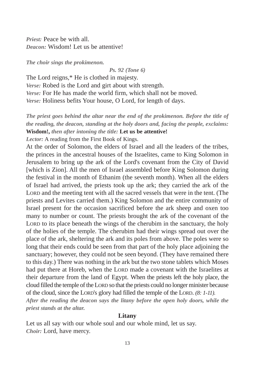*Priest:* Peace be with all. *Deacon:* Wisdom! Let us be attentive!

*The choir sings the prokimenon.*

*Ps. 92 (Tone 6)*

The Lord reigns,\* He is clothed in majesty.

*Verse:* Robed is the Lord and girt about with strength.

*Verse:* For He has made the world firm, which shall not be moved.

*Verse:* Holiness befits Your house, O Lord, for length of days.

*The priest goes behind the altar near the end of the prokimenon. Before the title of the reading, the deacon, standing at the holy doors and, facing the people, exclaims:* **Wisdom!,** *then after intoning the title:* **Let us be attentive!**

*Lector:* A reading from the First Book of Kings.

At the order of Solomon, the elders of Israel and all the leaders of the tribes, the princes in the ancestral houses of the Israelites, came to King Solomon in Jerusalem to bring up the ark of the Lord's covenant from the City of David [which is Zion]. All the men of Israel assembled before King Solomon during the festival in the month of Ethanim (the seventh month). When all the elders of Israel had arrived, the priests took up the ark; they carried the ark of the LORD and the meeting tent with all the sacred vessels that were in the tent. (The priests and Levites carried them.) King Solomon and the entire community of Israel present for the occasion sacrificed before the ark sheep and oxen too many to number or count. The priests brought the ark of the covenant of the LORD to its place beneath the wings of the cherubim in the sanctuary, the holy of the holies of the temple. The cherubim had their wings spread out over the place of the ark, sheltering the ark and its poles from above. The poles were so long that their ends could be seen from that part of the holy place adjoining the sanctuary; however, they could not be seen beyond. (They have remained there to this day.) There was nothing in the ark but the two stone tablets which Moses had put there at Horeb, when the LORD made a covenant with the Israelites at their departure from the land of Egypt. When the priests left the holy place, the cloud filled the temple of the LORD so that the priests could no longer minister because of the cloud, since the LORD's glory had filled the temple of the LORD. *(8: 1-11).*

*After the reading the deacon says the litany before the open holy doors, while the priest stands at the altar.* 

#### **Litany**

Let us all say with our whole soul and our whole mind, let us say. *Choir:* Lord, have mercy.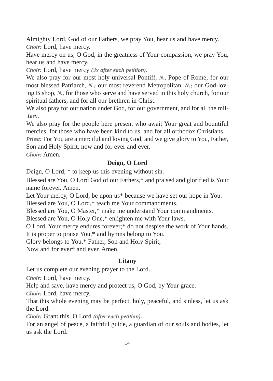Almighty Lord, God of our Fathers, we pray You, hear us and have mercy. *Choir:* Lord, have mercy.

Have mercy on us, O God, in the greatness of Your compassion, we pray You, hear us and have mercy.

*Choir:* Lord, have mercy *(3x after each petition).*

We also pray for our most holy universal Pontiff, *N.,* Pope of Rome; for our most blessed Patriarch, *N.;* our most reverend Metropolitan, *N.;* our God-loving Bishop, *N.,* for those who serve and have served in this holy church, for our spiritual fathers, and for all our brethren in Christ.

We also pray for our nation under God, for our government, and for all the military.

We also pray for the people here present who await Your great and bountiful mercies, for those who have been kind to us, and for all orthodox Christians.

*Priest:* For You are a merciful and loving God, and we give glory to You, Father, Son and Holy Spirit, now and for ever and ever.

*Choir:* Amen.

## **Deign, O Lord**

Deign, O Lord, \* to keep us this evening without sin.

Blessed are You, O Lord God of our Fathers,\* and praised and glorified is Your name forever. Amen.

Let Your mercy, O Lord, be upon us\* because we have set our hope in You.

Blessed are You, O Lord,\* teach me Your commandments.

Blessed are You, O Master,\* make me understand Your commandments.

Blessed are You, O Holy One,\* enlighten me with Your laws.

O Lord, Your mercy endures forever;\* do not despise the work of Your hands.

It is proper to praise You,\* and hymns belong to You.

Glory belongs to You,\* Father, Son and Holy Spirit,

Now and for ever\* and ever. Amen.

## **Litany**

Let us complete our evening prayer to the Lord.

*Choir:* Lord, have mercy.

Help and save, have mercy and protect us, O God, by Your grace.

*Choir:* Lord, have mercy.

That this whole evening may be perfect, holy, peaceful, and sinless, let us ask the Lord.

*Choir:* Grant this, O Lord *(after each petition).*

For an angel of peace, a faithful guide, a guardian of our souls and bodies, let us ask the Lord.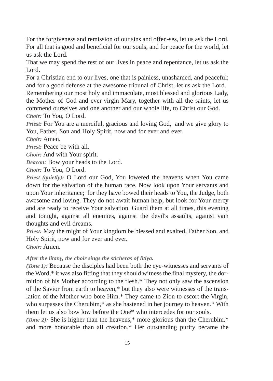For the forgiveness and remission of our sins and offen-ses, let us ask the Lord. For all that is good and beneficial for our souls, and for peace for the world, let us ask the Lord.

That we may spend the rest of our lives in peace and repentance, let us ask the Lord.

For a Christian end to our lives, one that is painless, unashamed, and peaceful; and for a good defense at the awesome tribunal of Christ, let us ask the Lord.

Remembering our most holy and immaculate, most blessed and glorious Lady, the Mother of God and ever-virgin Mary, together with all the saints, let us commend ourselves and one another and our whole life, to Christ our God. *Choir:* To You, O Lord.

*Priest:* For You are a merciful, gracious and loving God, and we give glory to You, Father, Son and Holy Spirit, now and for ever and ever.

*Choir:* Amen.

*Priest:* Peace be with all.

*Choir:* And with Your spirit.

*Deacon:* Bow your heads to the Lord.

*Choir:* To You, O Lord.

*Priest (quietly):* O Lord our God, You lowered the heavens when You came down for the salvation of the human race. Now look upon Your servants and upon Your inheritance; for they have bowed their heads to You, the Judge, both awesome and loving. They do not await human help, but look for Your mercy and are ready to receive Your salvation. Guard them at all times, this evening and tonight, against all enemies, against the devil's assaults, against vain thoughts and evil dreams.

*Priest:* May the might of Your kingdom be blessed and exalted, Father Son, and Holy Spirit, now and for ever and ever.

*Choir:* Amen.

*After the litany, the choir sings the sticheras of litiya.*

*(Tone 1):* Because the disciples had been both the eye-witnesses and servants of the Word,\* it was also fitting that they should witness the final mystery, the dormition of his Mother according to the flesh.\* They not only saw the ascension of the Savior from earth to heaven,\* but they also were witnesses of the translation of the Mother who bore Him.\* They came to Zion to escort the Virgin, who surpasses the Cherubim,\* as she hastened in her journey to heaven.\* With them let us also bow low before the One\* who intercedes for our souls.

*(Tone 2):* She is higher than the heavens,\* more glorious than the Cherubim,\* and more honorable than all creation.\* Her outstanding purity became the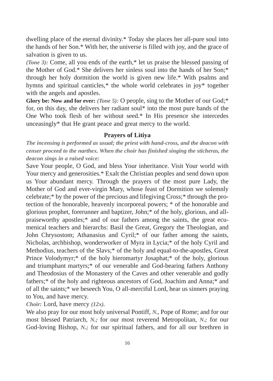dwelling place of the eternal divinity.\* Today she places her all-pure soul into the hands of her Son.\* With her, the universe is filled with joy, and the grace of salvation is given to us.

*(Tone 3):* Come, all you ends of the earth,\* let us praise the blessed passing of the Mother of God.\* She delivers her sinless soul into the hands of her Son;\* through her holy dormition the world is given new life.\* With psalms and hymns and spiritual canticles,\* the whole world celebrates in joy\* together with the angels and apostles.

**Glory be: Now and for ever:** *(Tone 5):* O people, sing to the Mother of our God;\* for, on this day, she delivers her radiant soul\* into the most pure hands of the One Who took flesh of her without seed.\* In His presence she intercedes unceasingly\* that He grant peace and great mercy to the world.

## **Prayers of Litiya**

*The incensing is performed as usual; the priest with hand-cross, and the deacon with censer proceed to the narthex. When the choir has finished singing the sticheras, the deacon sings in a raised voice:*

Save Your people, O God, and bless Your inheritance. Visit Your world with Your mercy and generosities.\* Exalt the Christian peoples and send down upon us Your abundant mercy. Through the prayers of the most pure Lady, the Mother of God and ever-virgin Mary, whose feast of Dormition we solemnly celebrate;\* by the power of the precious and lifegiving Cross;\* through the protection of the honorable, heavenly incorporeal powers; \* of the honorable and glorious prophet, forerunner and baptizer, John;\* of the holy, glorious, and allpraiseworthy apostles;\* and of our fathers among the saints, the great ecumenical teachers and hierarchs: Basil the Great, Gregory the Theologian, and John Chrysostom; Athanasius and Cyril;\* of our father among the saints, Nicholas, archbishop, wonderworker of Myra in Lycia;\* of the holy Cyril and Methodius, teachers of the Slavs;\* of the holy and equal-to-the-apostles, Great Prince Volodymyr;\* of the holy hieromartyr Josaphat;\* of the holy, glorious and triumphant martyrs;\* of our venerable and God-bearing fathers Anthony and Theodosius of the Monastery of the Caves and other venerable and godly fathers;\* of the holy and righteous ancestors of God, Joachim and Anna;\* and of all the saints;\* we beseech You, O all-merciful Lord, hear us sinners praying to You, and have mercy.

*Choir:* Lord, have mercy *(12x).*

We also pray for our most holy universal Pontiff, *N.,* Pope of Rome; and for our most blessed Patriarch, *N.;* for our most reverend Metropolitan, *N.;* for our God-loving Bishop, *N.;* for our spiritual fathers, and for all our brethren in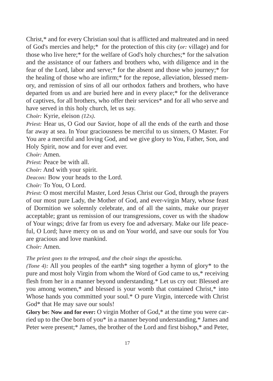Christ,\* and for every Christian soul that is afflicted and maltreated and in need of God's mercies and help;\* for the protection of this city (*or:* village) and for those who live here;\* for the welfare of God's holy churches;\* for the salvation and the assistance of our fathers and brothers who, with diligence and in the fear of the Lord, labor and serve;\* for the absent and those who journey;\* for the healing of those who are infirm;\* for the repose, alleviation, blessed memory, and remission of sins of all our orthodox fathers and brothers, who have departed from us and are buried here and in every place;\* for the deliverance of captives, for all brothers, who offer their services\* and for all who serve and have served in this holy church, let us say.

*Choir:* Kyrie, eleison *(12x).*

*Priest:* Hear us, O God our Savior, hope of all the ends of the earth and those far away at sea. In Your graciousness be merciful to us sinners, O Master. For You are a merciful and loving God, and we give glory to You, Father, Son, and Holy Spirit, now and for ever and ever.

*Choir:* Amen.

*Priest:* Peace be with all.

*Choir:* And with your spirit.

*Deacon:* Bow your heads to the Lord.

*Choir:* To You, O Lord.

*Priest:* O most merciful Master, Lord Jesus Christ our God, through the prayers of our most pure Lady, the Mother of God, and ever-virgin Mary, whose feast of Dormition we solemnly celebrate, and of all the saints, make our prayer acceptable; grant us remission of our transgressions, cover us with the shadow of Your wings; drive far from us every foe and adversary. Make our life peaceful, O Lord; have mercy on us and on Your world, and save our souls for You are gracious and love mankind.

*Choir:* Amen.

## *The priest goes to the tetrapod, and the choir sings the aposticha.*

*(Tone 4):* All you peoples of the earth\* sing together a hymn of glory\* to the pure and most holy Virgin from whom the Word of God came to us,\* receiving flesh from her in a manner beyond understanding.\* Let us cry out: Blessed are you among women,\* and blessed is your womb that contained Christ,\* into Whose hands you committed your soul.\* O pure Virgin, intercede with Christ God\* that He may save our souls!

**Glory be: Now and for ever:** O virgin Mother of God,\* at the time you were carried up to the One born of you\* in a manner beyond understanding,\* James and Peter were present;\* James, the brother of the Lord and first bishop,\* and Peter,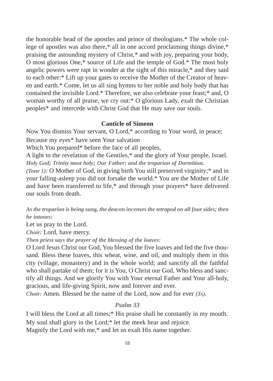the honorable head of the apostles and prince of theologians.\* The whole college of apostles was also there,\* all in one accord proclaiming things divine,\* praising the astounding mystery of Christ,\* and with joy, preparing your body, O most glorious One,\* source of Life and the temple of God.\* The most holy angelic powers were rapt in wonder at the sight of this miracle,\* and they said to each other:\* Lift up your gates to receive the Mother of the Creator of heaven and earth.\* Come, let us all sing hymns to her noble and holy body that has contained the invisible Lord.\* Therefore, we also celebrate your feast;\* and, O woman worthy of all praise, we cry out:\* O glorious Lady, exalt the Christian peoples\* and intercede with Christ God that He may save our souls.

## **Canticle of Simeon**

Now You dismiss Your servant, O Lord,\* according to Your word, in peace; Because my eyes\* have seen Your salvation

Which You prepared\* before the face of all peoples,

A light to the revelation of the Gentiles,\* and the glory of Your people, Israel. *Holy God; Trinity most holy; Our Father; and the troparion of Dormition.* 

*(Tone 1):* O Mother of God, in giving birth You still preserved virginity;\* and in your falling-asleep you did not forsake the world.\* You are the Mother of Life and have been transferred to life,\* and through your prayers\* have delivered our souls from death.

*As the troparion is being sung, the deacon incenses the tetrapod on all four sides; then he intones:*

Let us pray to the Lord.

*Choir:* Lord, have mercy.

*Then priest says the prayer of the blessing of the loaves:*

O Lord Jesus Christ our God, You blessed the five loaves and fed the five thousand. Bless these loaves, this wheat, wine, and oil, and multiply them in this city (village, monastery) and in the whole world; and sanctify all the faithful who shall partake of them; for it is You, O Christ our God, Who bless and sanctify all things. And we glorify You with Your eternal Father and Your all-holy, gracious, and life-giving Spirit, now and forever and ever.

*Choir:* Amen. Blessed be the name of the Lord, now and for ever *(3x).*

## *Psalm 33*

I will bless the Lord at all times;\* His praise shall be constantly in my mouth. My soul shall glory in the Lord;\* let the meek hear and rejoice. Magnify the Lord with me,\* and let us exalt His name together.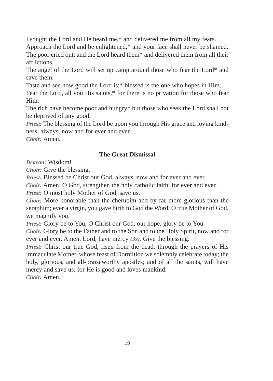I sought the Lord and He heard me,\* and delivered me from all my fears.

Approach the Lord and be enlightened,\* and your face shall never be shamed. The poor cried out, and the Lord heard them\* and delivered them from all their afflictions.

The angel of the Lord will set up camp around those who fear the Lord\* and save them.

Taste and see how good the Lord is;\* blessed is the one who hopes in Him.

Fear the Lord, all you His saints,\* for there is no privation for those who fear Him.

The rich have become poor and hungry\* but those who seek the Lord shall not be deprived of any good.

*Priest:* The blessing of the Lord be upon you through His grace and loving kindness, always, now and for ever and ever.

*Choir:* Amen.

## **The Great Dismissal**

*Deacon:* Wisdom!

*Choir:* Give the blessing.

*Priest:* Blessed be Christ our God, always, now and for ever and ever.

*Choir:* Amen. O God, strengthen the holy catholic faith, for ever and ever.

*Priest:* O most holy Mother of God, save us.

*Choir:* More honorable than the cherubim and by far more glorious than the seraphim; ever a virgin, you gave birth to God the Word, O true Mother of God, we magnify you.

*Priest:* Glory be to You, O Christ our God, our hope, glory be to You.

*Choir:* Glory be to the Father and to the Son and to the Holy Spirit, now and for ever and ever. Amen. Lord, have mercy *(3x).* Give the blessing.

*Priest:* Christ our true God, risen from the dead, through the prayers of His immaculate Mother, whose feast of Dormition we solemnly celebrate today; the holy, glorious, and all-praiseworthy apostles; and of all the saints, will have mercy and save us, for He is good and loves mankind.

*Choir:* Amen.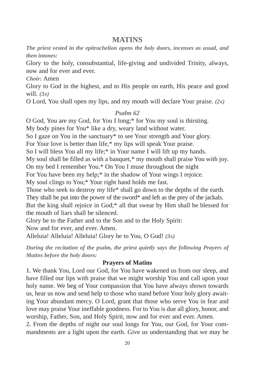## **MATINS**

*The priest vested in the epitrachelion opens the holy doors, incenses as usual, and then intones:* 

Glory to the holy, consubstantial, life-giving and undivided Trinity, always, now and for ever and ever.

*Choir:* Amen

Glory to God in the highest, and to His people on earth, His peace and good will. *(3x)*

O Lord, You shall open my lips, and my mouth will declare Your praise. *(2x)*

## *Psalm 62*

O God, You are my God, for You I long;\* for You my soul is thirsting.

My body pines for You\* like a dry, weary land without water.

So I gaze on You in the sanctuary\* to see Your strength and Your glory.

For Your love is better than life,\* my lips will speak Your praise.

So I will bless You all my life;\* in Your name I will lift up my hands.

My soul shall be filled as with a banquet,\* my mouth shall praise You with joy.

On my bed I remember You.\* On You I muse throughout the night

For You have been my help;\* in the shadow of Your wings I rejoice.

My soul clings to You;\* Your right hand holds me fast.

Those who seek to destroy my life\* shall go down to the depths of the earth. They shall be put into the power of the sword\* and left as the prey of the jackals. But the king shall rejoice in God;\* all that swear by Him shall be blessed for the mouth of liars shall be silenced.

Glory be to the Father and to the Son and to the Holy Spirit:

Now and for ever, and ever. Amen.

Alleluia! Alleluia! Alleluia! Glory be to You, O God! *(3x)*

*During the recitation of the psalm, the priest quietly says the following Prayers of Matins before the holy doors:*

#### **Prayers of Matins**

**1.** We thank You, Lord our God, for You have wakened us from our sleep, and have filled our lips with praise that we might worship You and call upon your holy name. We beg of Your compassion that You have always shown towards us, hear us now and send help to those who stand before Your holy glory awaiting Your abundant mercy. O Lord, grant that those who serve You in fear and love may praise Your ineffable goodness. For to You is due all glory, honor, and worship, Father, Son, and Holy Spirit, now and for ever and ever. Amen.

**2.** From the depths of night our soul longs for You, our God, for Your commandments are a light upon the earth. Give us understanding that we may be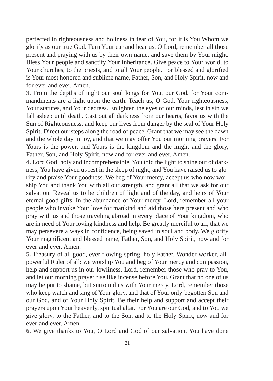perfected in righteousness and holiness in fear of You, for it is You Whom we glorify as our true God. Turn Your ear and hear us. O Lord, remember all those present and praying with us by their own name, and save them by Your might. Bless Your people and sanctify Your inheritance. Give peace to Your world, to Your churches, to the priests, and to all Your people. For blessed and glorified is Your most honored and sublime name, Father, Son, and Holy Spirit, now and for ever and ever. Amen.

**3.** From the depths of night our soul longs for You, our God, for Your commandments are a light upon the earth. Teach us, O God, Your righteousness, Your statutes, and Your decrees. Enlighten the eyes of our minds, lest in sin we fall asleep until death. Cast out all darkness from our hearts, favor us with the Sun of Righteousness, and keep our lives from danger by the seal of Your Holy Spirit. Direct our steps along the road of peace. Grant that we may see the dawn and the whole day in joy, and that we may offer You our morning prayers. For Yours is the power, and Yours is the kingdom and the might and the glory, Father, Son, and Holy Spirit, now and for ever and ever. Amen.

**4.** Lord God, holy and incomprehensible, You told the light to shine out of darkness; You have given us rest in the sleep of night; and You have raised us to glorify and praise Your goodness. We beg of Your mercy, accept us who now worship You and thank You with all our strength, and grant all that we ask for our salvation. Reveal us to be children of light and of the day, and heirs of Your eternal good gifts. In the abundance of Your mercy, Lord, remember all your people who invoke Your love for mankind and aid those here present and who pray with us and those traveling abroad in every place of Your kingdom, who are in need of Your loving kindness and help. Be greatly merciful to all, that we may persevere always in confidence, being saved in soul and body. We glorify Your magnificent and blessed name, Father, Son, and Holy Spirit, now and for ever and ever. Amen.

**5.** Treasury of all good, ever-flowing spring, holy Father, Wonder-worker, allpowerful Ruler of all: we worship You and beg of Your mercy and compassion, help and support us in our lowliness. Lord, remember those who pray to You, and let our morning prayer rise like incense before You. Grant that no one of us may be put to shame, but surround us with Your mercy. Lord, remember those who keep watch and sing of Your glory, and that of Your only-begotten Son and our God, and of Your Holy Spirit. Be their help and support and accept their prayers upon Your heavenly, spiritual altar. For You are our God, and to You we give glory, to the Father, and to the Son, and to the Holy Spirit, now and for ever and ever. Amen.

**6.** We give thanks to You, O Lord and God of our salvation. You have done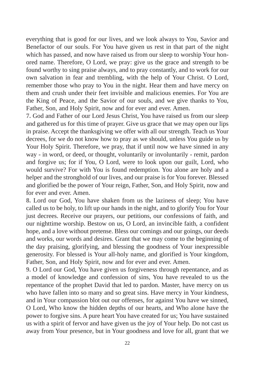everything that is good for our lives, and we look always to You, Savior and Benefactor of our souls. For You have given us rest in that part of the night which has passed, and now have raised us from our sleep to worship Your honored name. Therefore, O Lord, we pray: give us the grace and strength to be found worthy to sing praise always, and to pray constantly, and to work for our own salvation in fear and trembling, with the help of Your Christ. O Lord, remember those who pray to You in the night. Hear them and have mercy on them and crush under their feet invisible and malicious enemies. For You are the King of Peace, and the Savior of our souls, and we give thanks to You, Father, Son, and Holy Spirit, now and for ever and ever. Amen.

**7.** God and Father of our Lord Jesus Christ, You have raised us from our sleep and gathered us for this time of prayer. Give us grace that we may open our lips in praise. Accept the thanksgiving we offer with all our strength. Teach us Your decrees, for we do not know how to pray as we should, unless You guide us by Your Holy Spirit. Therefore, we pray, that if until now we have sinned in any way - in word, or deed, or thought, voluntarily or involuntarily - remit, pardon and forgive us; for if You, O Lord, were to look upon our guilt, Lord, who would survive? For with You is found redemption. You alone are holy and a helper and the stronghold of our lives, and our praise is for You forever. Blessed and glorified be the power of Your reign, Father, Son, and Holy Spirit, now and for ever and ever. Amen.

**8.** Lord our God, You have shaken from us the laziness of sleep; You have called us to be holy, to lift up our hands in the night, and to glorify You for Your just decrees. Receive our prayers, our petitions, our confessions of faith, and our nighttime worship. Bestow on us, O Lord, an invincible faith, a confident hope, and a love without pretense. Bless our comings and our goings, our deeds and works, our words and desires. Grant that we may come to the beginning of the day praising, glorifying, and blessing the goodness of Your inexpressible generosity. For blessed is Your all-holy name, and glorified is Your kingdom, Father, Son, and Holy Spirit, now and for ever and ever. Amen.

**9.** O Lord our God, You have given us forgiveness through repentance, and as a model of knowledge and confession of sins, You have revealed to us the repentance of the prophet David that led to pardon. Master, have mercy on us who have fallen into so many and so great sins. Have mercy in Your kindness, and in Your compassion blot out our offenses, for against You have we sinned, O Lord, Who know the hidden depths of our hearts, and Who alone have the power to forgive sins. A pure heart You have created for us; You have sustained us with a spirit of fervor and have given us the joy of Your help. Do not cast us away from Your presence, but in Your goodness and love for all, grant that we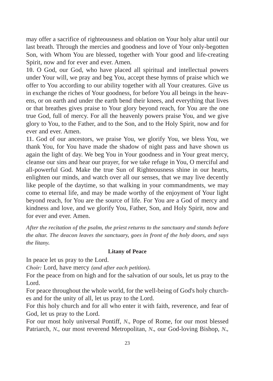may offer a sacrifice of righteousness and oblation on Your holy altar until our last breath. Through the mercies and goodness and love of Your only-begotten Son, with Whom You are blessed, together with Your good and life-creating Spirit, now and for ever and ever. Amen.

**10.** O God, our God, who have placed all spiritual and intellectual powers under Your will, we pray and beg You, accept these hymns of praise which we offer to You according to our ability together with all Your creatures. Give us in exchange the riches of Your goodness, for before You all beings in the heavens, or on earth and under the earth bend their knees, and everything that lives or that breathes gives praise to Your glory beyond reach, for You are the one true God, full of mercy. For all the heavenly powers praise You, and we give glory to You, to the Father, and to the Son, and to the Holy Spirit, now and for ever and ever. Amen.

**11.** God of our ancestors, we praise You, we glorify You, we bless You, we thank You, for You have made the shadow of night pass and have shown us again the light of day. We beg You in Your goodness and in Your great mercy, cleanse our sins and hear our prayer, for we take refuge in You, O merciful and all-powerful God. Make the true Sun of Righteousness shine in our hearts, enlighten our minds, and watch over all our senses, that we may live decently like people of the daytime, so that walking in your commandments, we may come to eternal life, and may be made worthy of the enjoyment of Your light beyond reach, for You are the source of life. For You are a God of mercy and kindness and love, and we glorify You, Father, Son, and Holy Spirit, now and for ever and ever. Amen.

*After the recitation of the psalm, the priest returns to the sanctuary and stands before the altar. The deacon leaves the sanctuary, goes in front of the holy doors, and says the litany.* 

#### **Litany of Peace**

In peace let us pray to the Lord.

*Choir:* Lord, have mercy *(and after each petition).*

For the peace from on high and for the salvation of our souls, let us pray to the Lord.

For peace throughout the whole world, for the well-being of God's holy churches and for the unity of all, let us pray to the Lord.

For this holy church and for all who enter it with faith, reverence, and fear of God, let us pray to the Lord.

For our most holy universal Pontiff, *N.,* Pope of Rome, for our most blessed Patriarch, *N.,* our most reverend Metropolitan, *N.,* our God-loving Bishop, *N.,*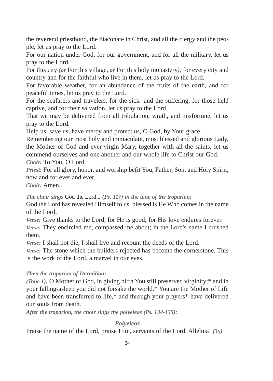the reverend priesthood, the diaconate in Christ, and all the clergy and the people, let us pray to the Lord.

For our nation under God, for our government, and for all the military, let us pray to the Lord.

For this city *(or* For this village, *or* For this holy monastery*),* for every city and country and for the faithful who live in them, let us pray to the Lord.

For favorable weather, for an abundance of the fruits of the earth, and for peaceful times, let us pray to the Lord.

For the seafarers and travelers, for the sick and the suffering, for those held captive, and for their salvation, let us pray to the Lord.

That we may be delivered from all tribulation, wrath, and misfortune, let us pray to the Lord.

Help us, save us, have mercy and protect us, O God, by Your grace.

Remembering our most holy and immaculate, most blessed and glorious Lady, the Mother of God and ever-virgin Mary, together with all the saints, let us commend ourselves and one another and our whole life to Christ our God. *Choir:* To You, O Lord.

*Priest:* For all glory, honor, and worship befit You, Father, Son, and Holy Spirit, now and for ever and ever.

*Choir:* Amen.

*The choir sings* God the Lord..*. (Ps. 117) in the tone of the troparion:*

God the Lord has revealed Himself to us, blessed is He Who comes in the name of the Lord.

*Verse:* Give thanks to the Lord, for He is good; for His love endures forever. *Verse:* They encircled me, compassed me about; in the Lord's name I crushed them.

*Verse:* I shall not die, I shall live and recount the deeds of the Lord.

*Verse:* The stone which the builders rejected has become the cornerstone. This is the work of the Lord, a marvel in our eyes.

## *Then the troparion of Dormition:*

*(Tone 1):* O Mother of God, in giving birth You still preserved virginity;\* and in your falling-asleep you did not forsake the world.\* You are the Mother of Life and have been transferred to life,\* and through your prayers\* have delivered our souls from death.

*After the troparion, the choir sings the polyeleos (Ps. 134-135):*

## *Polyeleos*

Praise the name of the Lord, praise Him, servants of the Lord. Alleluia! *(3x)*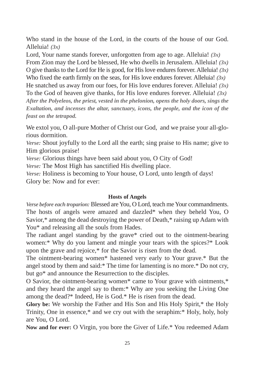Who stand in the house of the Lord, in the courts of the house of our God. Alleluia! *(3x)*

Lord, Your name stands forever, unforgotten from age to age. Alleluia! *(3x)* 

From Zion may the Lord be blessed, He who dwells in Jerusalem. Alleluia! *(3x)* O give thanks to the Lord for He is good, for His love endures forever. Alleluia! *(3x)* Who fixed the earth firmly on the seas, for His love endures forever. Alleluia! *(3x)* He snatched us away from our foes, for His love endures forever. Alleluia! *(3x)*

To the God of heaven give thanks, for His love endures forever. Alleluia! *(3x)*

*After the Polyeleos, the priest, vested in the phelonion, opens the holy doors, sings the Exaltation, and incenses the altar, sanctuary, icons, the people, and the icon of the feast on the tetrapod.*

We extol you, O all-pure Mother of Christ our God, and we praise your all-glorious dormition.

*Verse:* Shout joyfully to the Lord all the earth; sing praise to His name; give to Him glorious praise!

*Verse:* Glorious things have been said about you, O City of God!

*Verse:* The Most High has sanctified His dwelling place.

*Verse:* Holiness is becoming to Your house, O Lord, unto length of days! Glory be: Now and for ever:

## **Hosts of Angels**

*Verse before each troparion:* Blessed are You, O Lord, teach me Your commandments. The hosts of angels were amazed and dazzled\* when they beheld You, O Savior,\* among the dead destroying the power of Death,\* raising up Adam with You\* and releasing all the souls from Hades.

The radiant angel standing by the grave\* cried out to the ointment-bearing women:\* Why do you lament and mingle your tears with the spices?\* Look upon the grave and rejoice,\* for the Savior is risen from the dead.

The ointment-bearing women\* hastened very early to Your grave.\* But the angel stood by them and said:\* The time for lamenting is no more.\* Do not cry, but go\* and announce the Resurrection to the disciples.

O Savior, the ointment-bearing women\* came to Your grave with ointments,\* and they heard the angel say to them:\* Why are you seeking the Living One among the dead?\* Indeed, He is God.\* He is risen from the dead.

**Glory be:** We worship the Father and His Son and His Holy Spirit,\* the Holy Trinity, One in essence,\* and we cry out with the seraphim:\* Holy, holy, holy are You, O Lord.

**Now and for ever:** O Virgin, you bore the Giver of Life.\* You redeemed Adam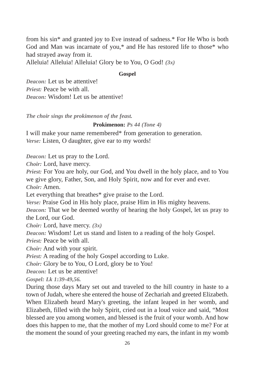from his sin\* and granted joy to Eve instead of sadness.\* For He Who is both God and Man was incarnate of you,\* and He has restored life to those\* who had strayed away from it.

Alleluia! Alleluia! Alleluia! Glory be to You, O God! *(3x)*

#### **Gospel**

*Deacon:* Let us be attentive! *Priest:* Peace be with all. *Deacon:* Wisdom! Let us be attentive!

*The choir sings the prokimenon of the feast.* 

#### **Prokimenon:** *Ps 44 (Tone 4)*

I will make your name remembered\* from generation to generation. *Verse:* Listen, O daughter, give ear to my words!

*Deacon:* Let us pray to the Lord.

*Choir:* Lord, have mercy.

*Priest:* For You are holy, our God, and You dwell in the holy place, and to You we give glory, Father, Son, and Holy Spirit, now and for ever and ever. *Choir:* Amen.

Let everything that breathes\* give praise to the Lord.

*Verse:* Praise God in His holy place, praise Him in His mighty heavens.

*Deacon:* That we be deemed worthy of hearing the holy Gospel, let us pray to the Lord, our God.

*Choir:* Lord, have mercy. *(3x)*

*Deacon:* Wisdom! Let us stand and listen to a reading of the holy Gospel.

*Priest:* Peace be with all.

*Choir:* And with your spirit.

*Priest:* A reading of the holy Gospel according to Luke.

*Choir:* Glory be to You, O Lord, glory be to You!

*Deacon:* Let us be attentive!

*Gospel: Lk 1:39-49,56.*

During those days Mary set out and traveled to the hill country in haste to a town of Judah, where she entered the house of Zechariah and greeted Elizabeth. When Elizabeth heard Mary's greeting, the infant leaped in her womb, and Elizabeth, filled with the holy Spirit, cried out in a loud voice and said, "Most blessed are you among women, and blessed is the fruit of your womb. And how does this happen to me, that the mother of my Lord should come to me? For at the moment the sound of your greeting reached my ears, the infant in my womb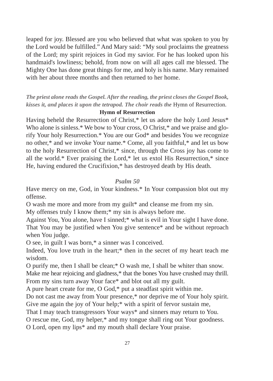leaped for joy. Blessed are you who believed that what was spoken to you by the Lord would be fulfilled." And Mary said: "My soul proclaims the greatness of the Lord; my spirit rejoices in God my savior. For he has looked upon his handmaid's lowliness; behold, from now on will all ages call me blessed. The Mighty One has done great things for me, and holy is his name. Mary remained with her about three months and then returned to her home.

## *The priest alone reads the Gospel. After the reading, the priest closes the Gospel Book, kisses it, and places it upon the tetrapod. The choir reads the* Hymn of Resurrection.

## **Hymn of Resurrection**

Having beheld the Resurrection of Christ,\* let us adore the holy Lord Jesus\* Who alone is sinless.\* We bow to Your cross, O Christ,\* and we praise and glorify Your holy Resurrection.\* You are our God\* and besides You we recognize no other,\* and we invoke Your name.\* Come, all you faithful,\* and let us bow to the holy Resurrection of Christ,\* since, through the Cross joy has come to all the world.\* Ever praising the Lord,\* let us extol His Resurrection,\* since He, having endured the Crucifixion,\* has destroyed death by His death.

## *Psalm 50*

Have mercy on me, God, in Your kindness.\* In Your compassion blot out my offense.

O wash me more and more from my guilt\* and cleanse me from my sin. My offenses truly I know them;\* my sin is always before me.

Against You, You alone, have I sinned;\* what is evil in Your sight I have done. That You may be justified when You give sentence\* and be without reproach when You judge.

O see, in guilt I was born,\* a sinner was I conceived.

Indeed, You love truth in the heart;\* then in the secret of my heart teach me wisdom.

O purify me, then I shall be clean;\* O wash me, I shall be whiter than snow.

Make me hear rejoicing and gladness,\* that the bones You have crushed may thrill. From my sins turn away Your face\* and blot out all my guilt.

A pure heart create for me, O God,\* put a steadfast spirit within me.

Do not cast me away from Your presence,\* nor deprive me of Your holy spirit.

Give me again the joy of Your help;<sup>\*</sup> with a spirit of fervor sustain me,

That I may teach transgressors Your ways\* and sinners may return to You.

O rescue me, God, my helper,\* and my tongue shall ring out Your goodness.

O Lord, open my lips\* and my mouth shall declare Your praise.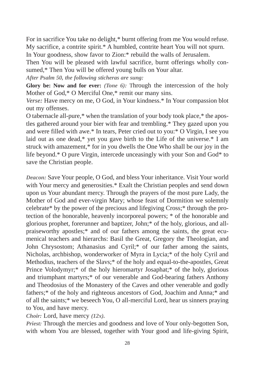For in sacrifice You take no delight,\* burnt offering from me You would refuse. My sacrifice, a contrite spirit.\* A humbled, contrite heart You will not spurn. In Your goodness, show favor to Zion:\* rebuild the walls of Jerusalem.

Then You will be pleased with lawful sacrifice, burnt offerings wholly consumed,\* Then You will be offered young bulls on Your altar.

*After Psalm 50, the following sticheras are sung:*

Glory be: Now and for ever: *(Tone 6)*: Through the intercession of the holy Mother of God,\* O Merciful One,\* remit our many sins.

*Verse:* Have mercy on me, O God, in Your kindness.\* In Your compassion blot out my offenses.

O tabernacle all-pure,\* when the translation of your body took place,\* the apostles gathered around your bier with fear and trembling.\* They gazed upon you and were filled with awe.\* In tears, Peter cried out to you:\* O Virgin, I see you laid out as one dead,\* yet you gave birth to the Life of the universe.\* I am struck with amazement,\* for in you dwells the One Who shall be our joy in the life beyond.\* O pure Virgin, intercede unceasingly with your Son and God\* to save the Christian people.

*Deacon:* Save Your people, O God, and bless Your inheritance. Visit Your world with Your mercy and generosities.\* Exalt the Christian peoples and send down upon us Your abundant mercy. Through the prayers of the most pure Lady, the Mother of God and ever-virgin Mary; whose feast of Dormition we solemnly celebrate\* by the power of the precious and lifegiving Cross;\* through the protection of the honorable, heavenly incorporeal powers; \* of the honorable and glorious prophet, forerunner and baptizer, John;\* of the holy, glorious, and allpraiseworthy apostles;\* and of our fathers among the saints, the great ecumenical teachers and hierarchs: Basil the Great, Gregory the Theologian, and John Chrysostom; Athanasius and Cyril;\* of our father among the saints, Nicholas, archbishop, wonderworker of Myra in Lycia;\* of the holy Cyril and Methodius, teachers of the Slavs;\* of the holy and equal-to-the-apostles, Great Prince Volodymyr;\* of the holy hieromartyr Josaphat;\* of the holy, glorious and triumphant martyrs;\* of our venerable and God-bearing fathers Anthony and Theodosius of the Monastery of the Caves and other venerable and godly fathers;\* of the holy and righteous ancestors of God, Joachim and Anna;\* and of all the saints;\* we beseech You, O all-merciful Lord, hear us sinners praying to You, and have mercy.

*Choir:* Lord, have mercy *(12x).*

*Priest:* Through the mercies and goodness and love of Your only-begotten Son, with whom You are blessed, together with Your good and life-giving Spirit,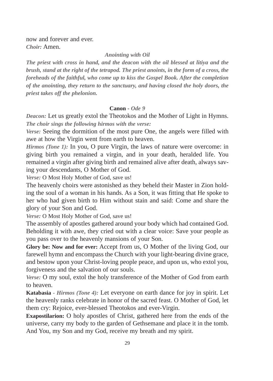now and forever and ever. *Choir:* Amen.

#### *Anointing with Oil*

*The priest with cross in hand, and the deacon with the oil blessed at litiya and the brush, stand at the right of the tetrapod. The priest anoints, in the form of a cross, the foreheads of the faithful, who come up to kiss the Gospel Book. After the completion of the anointing, they return to the sanctuary, and having closed the holy doors, the priest takes off the phelonion.* 

## **Canon** - *Ode 9*

*Deacon:* Let us greatly extol the Theotokos and the Mother of Light in Hymns. *The choir sings the following hirmos with the verse:* 

*Verse:* Seeing the dormition of the most pure One, the angels were filled with awe at how the Virgin went from earth to heaven.

*Hirmos (Tone 1):* In you, O pure Virgin, the laws of nature were overcome: in giving birth you remained a virgin, and in your death, heralded life. You remained a virgin after giving birth and remained alive after death, always saving your descendants, O Mother of God.

*Verse:* O Most Holy Mother of God, save us!

The heavenly choirs were astonished as they beheld their Master in Zion holding the soul of a woman in his hands. As a Son, it was fitting that He spoke to her who had given birth to Him without stain and said: Come and share the glory of your Son and God.

*Verse:* O Most Holy Mother of God, save us!

The assembly of apostles gathered around your body which had contained God. Beholding it with awe, they cried out with a clear voice: Save your people as you pass over to the heavenly mansions of your Son.

**Glory be: Now and for ever:** Accept from us, O Mother of the living God, our farewell hymn and encompass the Church with your light-bearing divine grace, and bestow upon your Christ-loving people peace, and upon us, who extol you, forgiveness and the salvation of our souls.

*Verse:* O my soul, extol the holy transference of the Mother of God from earth to heaven.

**Katabasia** *- Hirmos (Tone 4):* Let everyone on earth dance for joy in spirit. Let the heavenly ranks celebrate in honor of the sacred feast. O Mother of God, let them cry: Rejoice, ever-blessed Theotokos and ever-Virgin.

**Exapostilarion:** O holy apostles of Christ, gathered here from the ends of the universe, carry my body to the garden of Gethsemane and place it in the tomb. And You, my Son and my God, receive my breath and my spirit.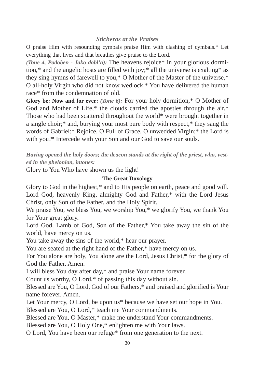## *Sticheras at the Praises*

O praise Him with resounding cymbals praise Him with clashing of cymbals.\* Let everything that lives and that breathes give praise to the Lord.

*(Tone 4, Podoben - Jako dobl'a):* The heavens rejoice\* in your glorious dormition,\* and the angelic hosts are filled with joy;\* all the universe is exalting\* as they sing hymns of farewell to you,\* O Mother of the Master of the universe,\* O all-holy Virgin who did not know wedlock.\* You have delivered the human race\* from the condemnation of old.

**Glory be: Now and for ever:** *(Tone 6):* For your holy dormition,\* O Mother of God and Mother of Life,\* the clouds carried the apostles through the air.\* Those who had been scattered throughout the world\* were brought together in a single choir;\* and, burying your most pure body with respect,\* they sang the words of Gabriel:\* Rejoice, O Full of Grace, O unwedded Virgin;\* the Lord is with you!\* Intercede with your Son and our God to save our souls.

*Having opened the holy doors; the deacon stands at the right of the priest, who, vested in the phelonion, intones:*

Glory to You Who have shown us the light!

## **The Great Doxology**

Glory to God in the highest,\* and to His people on earth, peace and good will. Lord God, heavenly King, almighty God and Father,\* with the Lord Jesus Christ, only Son of the Father, and the Holy Spirit.

We praise You, we bless You, we worship You,\* we glorify You, we thank You for Your great glory.

Lord God, Lamb of God, Son of the Father,\* You take away the sin of the world, have mercy on us.

You take away the sins of the world,\* hear our prayer.

You are seated at the right hand of the Father,\* have mercy on us.

For You alone are holy, You alone are the Lord, Jesus Christ,\* for the glory of God the Father. Amen.

I will bless You day after day,\* and praise Your name forever.

Count us worthy, O Lord,\* of passing this day without sin.

Blessed are You, O Lord, God of our Fathers,\* and praised and glorified is Your name forever. Amen.

Let Your mercy, O Lord, be upon us\* because we have set our hope in You.

Blessed are You, O Lord,\* teach me Your commandments.

Blessed are You, O Master,\* make me understand Your commandments.

Blessed are You, O Holy One,\* enlighten me with Your laws.

O Lord, You have been our refuge\* from one generation to the next.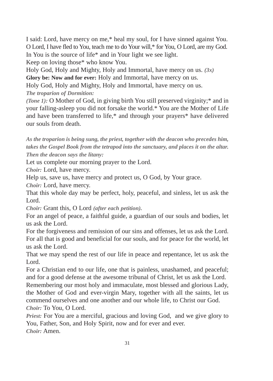I said: Lord, have mercy on me,\* heal my soul, for I have sinned against You. O Lord, I have fled to You, teach me to do Your will,\* for You, O Lord, are my God. In You is the source of life\* and in Your light we see light.

Keep on loving those\* who know You.

Holy God, Holy and Mighty, Holy and Immortal, have mercy on us. *(3x)* **Glory be: Now and for ever:** Holy and Immortal, have mercy on us.

Holy God, Holy and Mighty, Holy and Immortal, have mercy on us.

*The troparion of Dormition:*

*(Tone 1):* O Mother of God, in giving birth You still preserved virginity;\* and in your falling-asleep you did not forsake the world.\* You are the Mother of Life and have been transferred to life,\* and through your prayers\* have delivered our souls from death.

*As the troparion is being sung, the priest, together with the deacon who precedes him, takes the Gospel Book from the tetrapod into the sanctuary, and places it on the altar. Then the deacon says the litany:*

Let us complete our morning prayer to the Lord.

*Choir:* Lord, have mercy.

Help us, save us, have mercy and protect us, O God, by Your grace.

*Choir:* Lord, have mercy.

That this whole day may be perfect, holy, peaceful, and sinless, let us ask the Lord.

*Choir:* Grant this, O Lord *(after each petition).*

For an angel of peace, a faithful guide, a guardian of our souls and bodies, let us ask the Lord.

For the forgiveness and remission of our sins and offenses, let us ask the Lord. For all that is good and beneficial for our souls, and for peace for the world, let us ask the Lord.

That we may spend the rest of our life in peace and repentance, let us ask the Lord.

For a Christian end to our life, one that is painless, unashamed, and peaceful; and for a good defense at the awesome tribunal of Christ, let us ask the Lord.

Remembering our most holy and immaculate, most blessed and glorious Lady, the Mother of God and ever-virgin Mary, together with all the saints, let us commend ourselves and one another and our whole life, to Christ our God. *Choir:* To You, O Lord.

*Priest:* For You are a merciful, gracious and loving God, and we give glory to You, Father, Son, and Holy Spirit, now and for ever and ever.

*Choir:* Amen.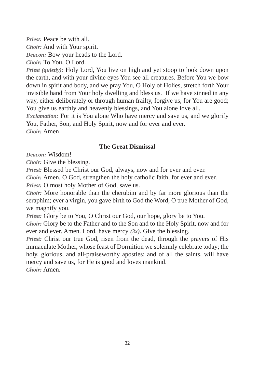*Priest:* Peace be with all.

*Choir:* And with Your spirit.

*Deacon:* Bow your heads to the Lord.

*Choir:* To You, O Lord.

*Priest (quietly):* Holy Lord, You live on high and yet stoop to look down upon the earth, and with your divine eyes You see all creatures. Before You we bow down in spirit and body, and we pray You, O Holy of Holies, stretch forth Your invisible hand from Your holy dwelling and bless us. If we have sinned in any way, either deliberately or through human frailty, forgive us, for You are good; You give us earthly and heavenly blessings, and You alone love all.

*Exclamation:* For it is You alone Who have mercy and save us, and we glorify You, Father, Son, and Holy Spirit, now and for ever and ever.

*Choir:* Amen

## **The Great Dismissal**

*Deacon:* Wisdom!

*Choir:* Give the blessing.

*Priest:* Blessed be Christ our God, always, now and for ever and ever.

*Choir:* Amen. O God, strengthen the holy catholic faith, for ever and ever.

*Priest:* O most holy Mother of God, save us.

*Choir:* More honorable than the cherubim and by far more glorious than the seraphim; ever a virgin, you gave birth to God the Word, O true Mother of God, we magnify you.

*Priest:* Glory be to You, O Christ our God, our hope, glory be to You.

*Choir:* Glory be to the Father and to the Son and to the Holy Spirit, now and for ever and ever. Amen. Lord, have mercy *(3x).* Give the blessing.

*Priest:* Christ our true God, risen from the dead, through the prayers of His immaculate Mother, whose feast of Dormition we solemnly celebrate today; the holy, glorious, and all-praiseworthy apostles; and of all the saints, will have mercy and save us, for He is good and loves mankind. *Choir:* Amen.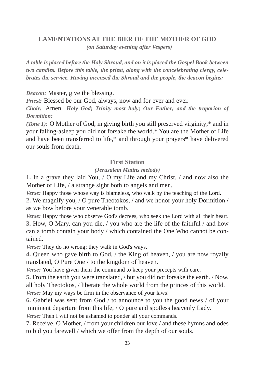## **LAMENTATIONS AT THE BIER OF THE MOTHER OF GOD**

*(on Saturday evening after Vespers)*

*A table is placed before the Holy Shroud, and on it is placed the Gospel Book between two candles. Before this table, the priest, along with the concelebrating clergy, celebrates the service. Having incensed the Shroud and the people, the deacon begins:*

*Deacon:* Master, give the blessing.

*Priest:* Blessed be our God, always, now and for ever and ever.

*Choir:* Amen. *Holy God; Trinity most holy; Our Father; and the troparion of Dormition:*

*(Tone 1):* O Mother of God, in giving birth you still preserved virginity;\* and in your falling-asleep you did not forsake the world.\* You are the Mother of Life and have been transferred to life,\* and through your prayers\* have delivered our souls from death.

## **First Station**

#### *(Jerusalem Matins melody)*

**1.** In a grave they laid You, / O my Life and my Christ, / and now also the Mother of Life, / a strange sight both to angels and men.

*Verse:* Happy those whose way is blameless, who walk by the teaching of the Lord.

**2.** We magnify you, / O pure Theotokos, / and we honor your holy Dormition / as we bow before your venerable tomb.

*Verse:* Happy those who observe God's decrees, who seek the Lord with all their heart. **3.** How, O Mary, can you die, / you who are the life of the faithful / and how can a tomb contain your body / which contained the One Who cannot be contained.

*Verse:* They do no wrong; they walk in God's ways.

**4.** Queen who gave birth to God, / the King of heaven, / you are now royally translated, O Pure One / to the kingdom of heaven.

*Verse:* You have given them the command to keep your precepts with care.

**5.** From the earth you were translated, / but you did not forsake the earth. / Now, all holy Theotokos, / liberate the whole world from the princes of this world.

*Verse:* May my ways be firm in the observance of your laws!

**6.** Gabriel was sent from God / to announce to you the good news / of your imminent departure from this life, / O pure and spotless heavenly Lady.

*Verse:* Then I will not be ashamed to ponder all your commands.

**7.** Receive, O Mother, / from your children our love / and these hymns and odes to bid you farewell / which we offer from the depth of our souls.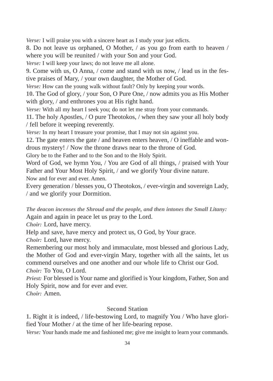*Verse:* I will praise you with a sincere heart as I study your just edicts.

**8.** Do not leave us orphaned, O Mother, / as you go from earth to heaven / where you will be reunited / with your Son and your God.

*Verse:* I will keep your laws; do not leave me all alone.

**9.** Come with us, O Anna, / come and stand with us now, / lead us in the festive praises of Mary, / your own daughter, the Mother of God.

*Verse:* How can the young walk without fault? Only by keeping your words.

**10.** The God of glory, / your Son, O Pure One, / now admits you as His Mother with glory, / and enthrones you at His right hand.

*Verse:* With all my heart I seek you; do not let me stray from your commands.

**11.** The holy Apostles, / O pure Theotokos, / when they saw your all holy body / fell before it weeping reverently.

*Verse:* In my heart I treasure your promise, that I may not sin against you.

**12.** The gate enters the gate / and heaven enters heaven, / O ineffable and wondrous mystery! / Now the throne draws near to the throne of God.

Glory be to the Father and to the Son and to the Holy Spirit.

Word of God, we hymn You, / You are God of all things, / praised with Your Father and Your Most Holy Spirit, / and we glorify Your divine nature.

Now and for ever and ever. Amen.

Every generation / blesses you, O Theotokos, / ever-virgin and sovereign Lady, / and we glorify your Dormition.

*The deacon incenses the Shroud and the people, and then intones the Small Litany:* Again and again in peace let us pray to the Lord.

*Choir:* Lord, have mercy.

Help and save, have mercy and protect us, O God, by Your grace.

*Choir:* Lord, have mercy.

Remembering our most holy and immaculate, most blessed and glorious Lady, the Mother of God and ever-virgin Mary, together with all the saints, let us commend ourselves and one another and our whole life to Christ our God. *Choir:* To You, O Lord.

*Priest:* For blessed is Your name and glorified is Your kingdom, Father, Son and Holy Spirit, now and for ever and ever.

*Choir:* Amen.

## **Second Station**

**1.** Right it is indeed, / life-bestowing Lord, to magnify You / Who have glorified Your Mother / at the time of her life-bearing repose.

*Verse:* Your hands made me and fashioned me; give me insight to learn your commands.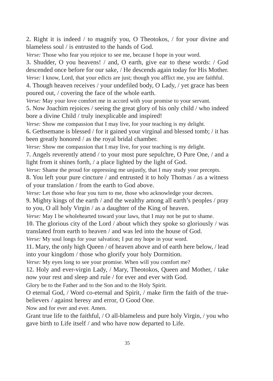**2.** Right it is indeed / to magnify you, O Theotokos, / for your divine and blameless soul / is entrusted to the hands of God.

*Verse:* Those who fear you rejoice to see me, because I hope in your word.

**3.** Shudder, O you heavens! / and, O earth, give ear to these words: / God descended once before for our sake, / He descends again today for His Mother. *Verse:* I know, Lord, that your edicts are just; though you afflict me, you are faithful.

**4.** Though heaven receives / your undefiled body, O Lady, / yet grace has been poured out, / covering the face of the whole earth.

*Verse:* May your love comfort me in accord with your promise to your servant.

**5.** Now Joachim rejoices / seeing the great glory of his only child / who indeed bore a divine Child / truly inexplicable and inspired!

*Verse:* Show me compassion that I may live, for your teaching is my delight.

**6.** Gethsemane is blessed / for it gained your virginal and blessed tomb; / it has been greatly honored / as the royal bridal chamber.

*Verse:* Show me compassion that I may live, for your teaching is my delight.

**7.** Angels reverently attend / to your most pure sepulchre, O Pure One, / and a light from it shines forth, / a place lighted by the light of God.

*Verse:* Shame the proud for oppressing me unjustly, that I may study your precepts.

**8.** You left your pure cincture / and entrusted it to holy Thomas / as a witness of your translation / from the earth to God above.

*Verse:* Let those who fear you turn to me, those who acknowledge your decrees.

**9.** Mighty kings of the earth / and the wealthy among all earth's peoples / pray to you, O all holy Virgin / as a daughter of the King of heaven.

*Verse:* May I be wholehearted toward your laws, that I may not be put to shame.

**10.** The glorious city of the Lord / about which they spoke so gloriously / was translated from earth to heaven / and was led into the house of God.

*Verse:* My soul longs for your salvation; I put my hope in your word.

**11.** Mary, the only high Queen / of heaven above and of earth here below, / lead into your kingdom / those who glorify your holy Dormition.

*Verse:* My eyes long to see your promise. When will you comfort me?

**12.** Holy and ever-virgin Lady, / Mary, Theotokos, Queen and Mother, / take now your rest and sleep and rule / for ever and ever with God.

Glory be to the Father and to the Son and to the Holy Spirit.

O eternal God, / Word co-eternal and Spirit, / make firm the faith of the truebelievers / against heresy and error, O Good One.

Now and for ever and ever. Amen.

Grant true life to the faithful, / O all-blameless and pure holy Virgin, / you who gave birth to Life itself / and who have now departed to Life.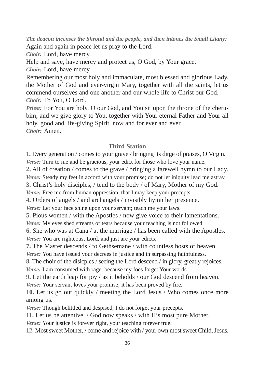*The deacon incenses the Shroud and the people, and then intones the Small Litany:* Again and again in peace let us pray to the Lord.

*Choir:* Lord, have mercy.

Help and save, have mercy and protect us, O God, by Your grace.

*Choir:* Lord, have mercy.

Remembering our most holy and immaculate, most blessed and glorious Lady, the Mother of God and ever-virgin Mary, together with all the saints, let us commend ourselves and one another and our whole life to Christ our God. *Choir:* To You, O Lord.

*Priest:* For You are holy, O our God, and You sit upon the throne of the cherubim; and we give glory to You, together with Your eternal Father and Your all holy, good and life-giving Spirit, now and for ever and ever. *Choir:* Amen.

## **Third Station**

**1.** Every generation / comes to your grave / bringing its dirge of praises, O Virgin. *Verse:* Turn to me and be gracious, your edict for those who love your name.

**2.** All of creation / comes to the grave / bringing a farewell hymn to our Lady.

*Verse:* Steady my feet in accord with your promise; do not let iniquity lead me astray.

**3.** Christ's holy disciples, / tend to the body / of Mary, Mother of my God.

*Verse:* Free me from human oppression, that I may keep your precepts.

**4.** Orders of angels / and archangels / invisibly hymn her presence.

*Verse:* Let your face shine upon your servant; teach me your laws.

**5.** Pious women / with the Apostles / now give voice to their lamentations.

*Verse:* My eyes shed streams of tears because your teaching is not followed.

**6.** She who was at Cana / at the marriage / has been called with the Apostles. *Verse:* You are righteous, Lord, and just are your edicts.

**7.** The Master descends / to Gethsemane / with countless hosts of heaven.

*Verse:* You have issued your decrees in justice and in surpassing faithfulness.

**8.** The choir of the disicples / seeing the Lord descend / in glory, greatly rejoices. *Verse:* I am consumed with rage, because my foes forget Your words.

**9.** Let the earth leap for joy / as it beholds / our God descend from heaven.

*Verse:* Your servant loves your promise; it has been proved by fire.

**10.** Let us go out quickly / meeting the Lord Jesus / Who comes once more among us.

*Verse:* Though belittled and despised, I do not forget your precepts.

**11.** Let us be attentive, / God now speaks / with His most pure Mother.

*Verse:* Your justice is forever right, your teaching forever true.

**12.** Most sweet Mother, / come and rejoice with / your own most sweet Child, Jesus.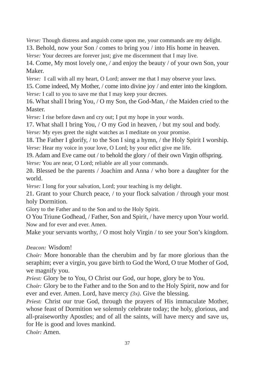*Verse:* Though distress and anguish come upon me, your commands are my delight.

**13.** Behold, now your Son / comes to bring you / into His home in heaven.

*Verse:* Your decrees are forever just; give me discernment that I may live.

**14.** Come, My most lovely one, / and enjoy the beauty / of your own Son, your Maker.

*Verse:* I call with all my heart, O Lord; answer me that I may observe your laws.

**15.** Come indeed, My Mother, / come into divine joy / and enter into the kingdom. *Verse:* I call to you to save me that I may keep your decrees.

**16.** What shall I bring You, / O my Son, the God-Man, / the Maiden cried to the **Master** 

*Verse:* I rise before dawn and cry out; I put my hope in your words.

**17.** What shall I bring You, / O my God in heaven, / but my soul and body.

*Verse:* My eyes greet the night watches as I meditate on your promise.

**18.** The Father I glorify, / to the Son I sing a hymn, / the Holy Spirit I worship. *Verse:* Hear my voice in your love, O Lord; by your edict give me life.

**19.** Adam and Eve came out / to behold the glory / of their own Virgin offspring.

*Verse:* You are near, O Lord; reliable are all your commands.

**20.** Blessed be the parents / Joachim and Anna / who bore a daughter for the world.

*Verse:* I long for your salvation, Lord; your teaching is my delight.

**21.** Grant to your Church peace, / to your flock salvation / through your most holy Dormition.

Glory to the Father and to the Son and to the Holy Spirit.

O You Triune Godhead, / Father, Son and Spirit, / have mercy upon Your world. Now and for ever and ever. Amen.

Make your servants worthy, / O most holy Virgin / to see your Son's kingdom.

*Deacon:* Wisdom!

*Choir:* More honorable than the cherubim and by far more glorious than the seraphim; ever a virgin, you gave birth to God the Word, O true Mother of God, we magnify you.

*Priest:* Glory be to You, O Christ our God, our hope, glory be to You.

*Choir:* Glory be to the Father and to the Son and to the Holy Spirit, now and for ever and ever. Amen. Lord, have mercy *(3x).* Give the blessing.

*Priest:* Christ our true God, through the prayers of His immaculate Mother, whose feast of Dormition we solemnly celebrate today; the holy, glorious, and all-praiseworthy Apostles; and of all the saints, will have mercy and save us, for He is good and loves mankind.

*Choir:* Amen.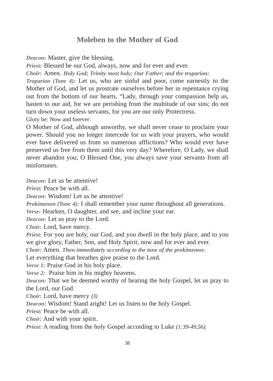## **Moleben to the Mother of God**

*Deacon:* Master, give the blessing.

*Priest:* Blessed be our God, always, now and for ever and ever.

*Choir:* Amen. *Holy God; Trinity most holy; Our Father; and the troparion:*

*Troparion (Tone 4):* Let us, who are sinful and poor, come earnestly to the Mother of God, and let us prostrate ourselves before her in repentance crying out from the bottom of our hearts, "Lady, through your compassion help us, hasten to our aid, for we are perishing from the multitude of our sins; do not turn down your useless servants, for you are our only Protectress.

Glory be: Now and forever:

O Mother of God, although unworthy, we shall never cease to proclaim your power. Should you no longer intercede for us with your prayers, who would ever have delivered us from so numerous afflictions? Who would ever have preserved us free from them until this very day? Wherefore, O Lady, we shall never abandon you; O Blessed One, you always save your servants from all misfortunes.

*Deacon:* Let us be attentive! *Priest:* Peace be with all. *Deacon:* Wisdom! Let us be attentive! *Prokimenon (Tone 4):* I shall remember your name throughout all generations. *Verse:* Hearken, O daughter, and see, and incline your ear. *Deacon:* Let us pray to the Lord. *Choir:* Lord, have mercy. *Priest:* For you are holy, our God, and you dwell in the holy place, and to you we give glory, Father, Son, and Holy Spirit, now and for ever and ever. *Choir:* Amen. *Then immediately according to the tone of the prokimenon:*  Let everything that breathes give praise to the Lord. *Verse 1:* Praise God in his holy place. *Verse 2:* Praise him in his mighty heavens. *Deacon:* That we be deemed worthy of hearing the holy Gospel, let us pray to the Lord, our God. *Choir:* Lord, have mercy *(3) Deacon:* Wisdom! Stand aright! Let us listen to the holy Gospel. *Priest:* Peace be with all. *Choir:* And with your spirit. *Priest:* A reading from the holy Gospel according to Luke *(1:39-49,56).*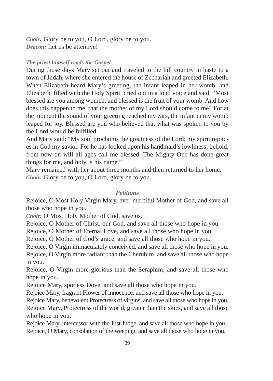*Choir:* Glory be to you, O Lord, glory be to you. *Deacon:* Let us be attentive!

## *The priest himself reads the Gospel*

During those days Mary set out and traveled to the hill country in haste to a town of Judah, where she entered the house of Zechariah and greeted Elizabeth. When Elizabeth heard Mary's greeting, the infant leaped in her womb, and Elizabeth, filled with the Holy Spirit, cried out in a loud voice and said, "Most blessed are you among women, and blessed is the fruit of your womb. And how does this happen to me, that the mother of my Lord should come to me? For at the moment the sound of your greeting reached my ears, the infant in my womb leaped for joy. Blessed are you who believed that what was spoken to you by the Lord would be fulfilled.

And Mary said: "My soul proclaims the greatness of the Lord; my spirit rejoices in God my savior. For he has looked upon his handmaid's lowliness; behold, from now on will all ages call me blessed. The Mighty One has done great things for me, and holy is his name."

Mary remained with her about three months and then returned to her home. *Choir:* Glory be to you, O Lord, glory be to you.

## *Petitions*

Rejoice, O Most Holy Virgin Mary, ever-merciful Mother of God, and save all those who hope in you.

*Choir:* O Most Holy Mother of God, save us.

Rejoice, O Mother of Christ, our God, and save all those who hope in you.

Rejoice, O Mother of Eternal Love, and save all those who hope in you.

Rejoice, O Mother of God's grace, and save all those who hope in you.

Rejoice, O Virgin immaculately conceived, and save all those who hope in you. Rejoice, O Virgin more radiant than the Cherubim, and save all those who hope

in you.

Rejoice, O Virgin more glorious than the Seraphim, and save all those who hope in you.

Rejoice Mary, spotless Dove, and save all those who hope in you.

Rejoice Mary, fragrant Flower of innocence, and save all those who hope in you.

Rejoice Mary, benevolent Protectress of virgins, and save all those who hope in you. Rejoice Mary, Protectress of the world, greater than the skies, and save all those who hope in you.

Rejoice Mary, intercessor with the Just Judge, and save all those who hope in you. Rejoice, O Mary, consolation of the weeping, and save all those who hope in you.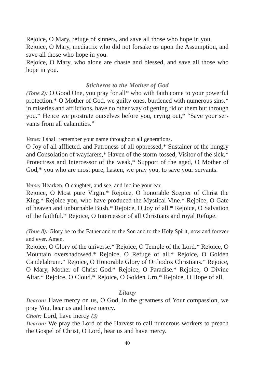Rejoice, O Mary, refuge of sinners, and save all those who hope in you. Rejoice, O Mary, mediatrix who did not forsake us upon the Assumption, and save all those who hope in you.

Rejoice, O Mary, who alone are chaste and blessed, and save all those who hope in you.

### *Sticheras to the Mother of God*

*(Tone 2):* O Good One, you pray for all\* who with faith come to your powerful protection.\* O Mother of God, we guilty ones, burdened with numerous sins,\* in miseries and afflictions, have no other way of getting rid of them but through you.\* Hence we prostrate ourselves before you, crying out,\* "Save your servants from all calamities."

*Verse:* I shall remember your name throughout all generations.

O Joy of all afflicted, and Patroness of all oppressed,\* Sustainer of the hungry and Consolation of wayfarers,\* Haven of the storm-tossed, Visitor of the sick,\* Protectress and Intercessor of the weak,\* Support of the aged, O Mother of God,\* you who are most pure, hasten, we pray you, to save your servants.

*Verse:* Hearken, O daughter, and see, and incline your ear.

Rejoice, O Most pure Virgin.\* Rejoice, O honorable Scepter of Christ the King.\* Rejoice you, who have produced the Mystical Vine.\* Rejoice, O Gate of heaven and unburnable Bush.\* Rejoice, O Joy of all.\* Rejoice, O Salvation of the faithful.\* Rejoice, O Intercessor of all Christians and royal Refuge.

*(Tone 8):* Glory be to the Father and to the Son and to the Holy Spirit, now and forever and ever. Amen.

Rejoice, O Glory of the universe.\* Rejoice, O Temple of the Lord.\* Rejoice, O Mountain overshadowed.\* Rejoice, O Refuge of all.\* Rejoice, O Golden Candelabrum.\* Rejoice, O Honorable Glory of Orthodox Christians.\* Rejoice, O Mary, Mother of Christ God.\* Rejoice, O Paradise.\* Rejoice, O Divine Altar.\* Rejoice, O Cloud.\* Rejoice, O Golden Urn.\* Rejoice, O Hope of all.

#### *Litany*

*Deacon:* Have mercy on us, O God, in the greatness of Your compassion, we pray You, hear us and have mercy.

*Choir:* Lord, have mercy *(3)*

*Deacon:* We pray the Lord of the Harvest to call numerous workers to preach the Gospel of Christ, O Lord, hear us and have mercy.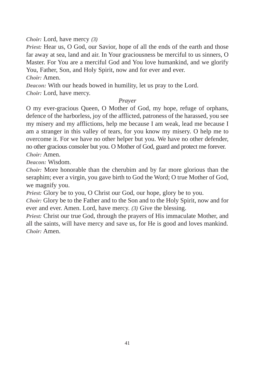*Choir:* Lord, have mercy *(3)*

*Priest:* Hear us, O God, our Savior, hope of all the ends of the earth and those far away at sea, land and air. In Your graciousness be merciful to us sinners, O Master. For You are a merciful God and You love humankind, and we glorify You, Father, Son, and Holy Spirit, now and for ever and ever.

*Choir:* Amen.

*Deacon:* With our heads bowed in humility, let us pray to the Lord. *Choir:* Lord, have mercy.

## *Prayer*

O my ever-gracious Queen, O Mother of God, my hope, refuge of orphans, defence of the harborless, joy of the afflicted, patroness of the harassed, you see my misery and my afflictions, help me because I am weak, lead me because I am a stranger in this valley of tears, for you know my misery. O help me to overcome it. For we have no other helper but you. We have no other defender, no other gracious consoler but you. O Mother of God, guard and protect me forever. *Choir:* Amen.

*Deacon:* Wisdom.

*Choir:* More honorable than the cherubim and by far more glorious than the seraphim; ever a virgin, you gave birth to God the Word; O true Mother of God, we magnify you.

*Priest:* Glory be to you, O Christ our God, our hope, glory be to you.

*Choir:* Glory be to the Father and to the Son and to the Holy Spirit, now and for ever and ever. Amen. Lord, have mercy. *(3)* Give the blessing.

*Priest:* Christ our true God, through the prayers of His immaculate Mother, and all the saints, will have mercy and save us, for He is good and loves mankind. *Choir:* Amen.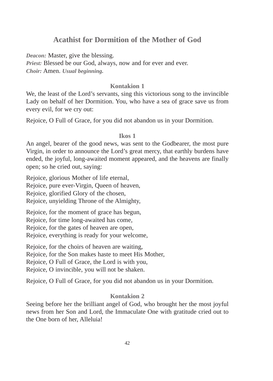## **Acathist for Dormition of the Mother of God**

*Deacon:* Master, give the blessing. *Priest:* Blessed be our God, always, now and for ever and ever. *Choir:* Amen. *Usual beginning.*

## **Kontakion 1**

We, the least of the Lord's servants, sing this victorious song to the invincible Lady on behalf of her Dormition. You, who have a sea of grace save us from every evil, for we cry out:

Rejoice, O Full of Grace, for you did not abandon us in your Dormition.

## **Ikos 1**

An angel, bearer of the good news, was sent to the Godbearer, the most pure Virgin, in order to announce the Lord's great mercy, that earthly burdens have ended, the joyful, long-awaited moment appeared, and the heavens are finally open; so he cried out, saying:

Rejoice, glorious Mother of life eternal, Rejoice, pure ever-Virgin, Queen of heaven, Rejoice, glorified Glory of the chosen, Rejoice, unyielding Throne of the Almighty,

Rejoice, for the moment of grace has begun, Rejoice, for time long-awaited has come, Rejoice, for the gates of heaven are open, Rejoice, everything is ready for your welcome,

Rejoice, for the choirs of heaven are waiting, Rejoice, for the Son makes haste to meet His Mother, Rejoice, O Full of Grace, the Lord is with you,

Rejoice, O invincible, you will not be shaken.

Rejoice, O Full of Grace, for you did not abandon us in your Dormition.

## **Kontakion 2**

Seeing before her the brilliant angel of God, who brought her the most joyful news from her Son and Lord, the Immaculate One with gratitude cried out to the One born of her, Alleluia!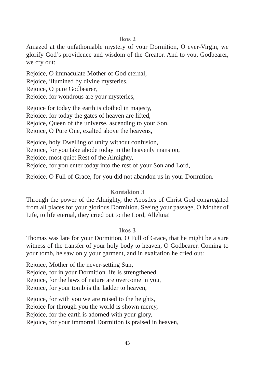## **Ikos 2**

Amazed at the unfathomable mystery of your Dormition, O ever-Virgin, we glorify God's providence and wisdom of the Creator. And to you, Godbearer, we cry out:

Rejoice, O immaculate Mother of God eternal,

Rejoice, illumined by divine mysteries,

Rejoice, O pure Godbearer,

Rejoice, for wondrous are your mysteries,

Rejoice for today the earth is clothed in majesty, Rejoice, for today the gates of heaven are lifted, Rejoice, Queen of the universe, ascending to your Son, Rejoice, O Pure One, exalted above the heavens,

Rejoice, holy Dwelling of unity without confusion, Rejoice, for you take abode today in the heavenly mansion, Rejoice, most quiet Rest of the Almighty, Rejoice, for you enter today into the rest of your Son and Lord,

Rejoice, O Full of Grace, for you did not abandon us in your Dormition.

## **Kontakion 3**

Through the power of the Almighty, the Apostles of Christ God congregated from all places for your glorious Dormition. Seeing your passage, O Mother of Life, to life eternal, they cried out to the Lord, Alleluia!

## **Ikos 3**

Thomas was late for your Dormition, O Full of Grace, that he might be a sure witness of the transfer of your holy body to heaven, O Godbearer. Coming to your tomb, he saw only your garment, and in exaltation he cried out:

Rejoice, Mother of the never-setting Sun, Rejoice, for in your Dormition life is strengthened, Rejoice, for the laws of nature are overcome in you, Rejoice, for your tomb is the ladder to heaven,

Rejoice, for with you we are raised to the heights, Rejoice for through you the world is shown mercy, Rejoice, for the earth is adorned with your glory, Rejoice, for your immortal Dormition is praised in heaven,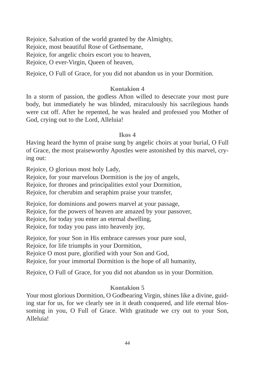Rejoice, Salvation of the world granted by the Almighty, Rejoice, most beautiful Rose of Gethsemane, Rejoice, for angelic choirs escort you to heaven, Rejoice, O ever-Virgin, Queen of heaven,

Rejoice, O Full of Grace, for you did not abandon us in your Dormition.

## **Kontakion 4**

In a storm of passion, the godless Afton willed to desecrate your most pure body, but immediately he was blinded, miraculously his sacrilegious hands were cut off. After he repented, he was healed and professed you Mother of God, crying out to the Lord, Alleluia!

## **Ikos 4**

Having heard the hymn of praise sung by angelic choirs at your burial, O Full of Grace, the most praiseworthy Apostles were astonished by this marvel, crying out:

Rejoice, O glorious most holy Lady,

Rejoice, for your marvelous Dormition is the joy of angels,

Rejoice, for thrones and principalities extol your Dormition,

Rejoice, for cherubim and seraphim praise your transfer,

Rejoice, for dominions and powers marvel at your passage,

Rejoice, for the powers of heaven are amazed by your passover,

Rejoice, for today you enter an eternal dwelling,

Rejoice, for today you pass into heavenly joy,

Rejoice, for your Son in His embrace caresses your pure soul,

Rejoice, for life triumphs in your Dormition,

Rejoice O most pure, glorified with your Son and God,

Rejoice, for your immortal Dormition is the hope of all humanity,

Rejoice, O Full of Grace, for you did not abandon us in your Dormition.

## **Kontakion 5**

Your most glorious Dormition, O Godbearing Virgin, shines like a divine, guiding star for us, for we clearly see in it death conquered, and life eternal blossoming in you, O Full of Grace. With gratitude we cry out to your Son, Alleluia!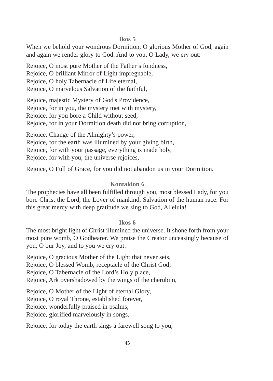## **Ikos 5**

When we behold your wondrous Dormition, O glorious Mother of God, again and again we render glory to God. And to you, O Lady, we cry out:

Rejoice, O most pure Mother of the Father's fondness,

Rejoice, O brilliant Mirror of Light impregnable,

Rejoice, O holy Tabernacle of Life eternal,

Rejoice, O marvelous Salvation of the faithful,

Rejoice, majestic Mystery of God's Providence,

Rejoice, for in you, the mystery met with mystery,

Rejoice, for you bore a Child without seed,

Rejoice, for in your Dormition death did not bring corruption,

Rejoice, Change of the Almighty's power, Rejoice, for the earth was illumined by your giving birth, Rejoice, for with your passage, everything is made holy, Rejoice, for with you, the universe rejoices,

Rejoice, O Full of Grace, for you did not abandon us in your Dormition.

## **Kontakion 6**

The prophecies have all been fulfilled through you, most blessed Lady, for you bore Christ the Lord, the Lover of mankind, Salvation of the human race. For this great mercy with deep gratitude we sing to God, Alleluia!

## **Ikos 6**

The most bright light of Christ illumined the universe. It shone forth from your most pure womb, O Godbearer. We praise the Creator unceasingly because of you, O our Joy, and to you we cry out:

Rejoice, O gracious Mother of the Light that never sets,

Rejoice, O blessed Womb, receptacle of the Christ God,

Rejoice, O Tabernacle of the Lord's Holy place,

Rejoice, Ark overshadowed by the wings of the cherubim,

Rejoice, O Mother of the Light of eternal Glory,

Rejoice, O royal Throne, established forever,

Rejoice, wonderfully praised in psalms,

Rejoice, glorified marvelously in songs,

Rejoice, for today the earth sings a farewell song to you,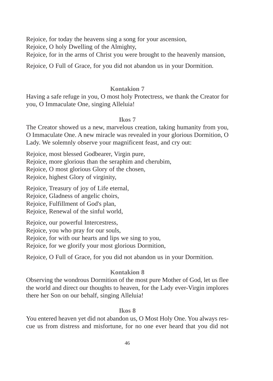Rejoice, for today the heavens sing a song for your ascension, Rejoice, O holy Dwelling of the Almighty, Rejoice, for in the arms of Christ you were brought to the heavenly mansion,

Rejoice, O Full of Grace, for you did not abandon us in your Dormition.

## **Kontakion 7**

Having a safe refuge in you, O most holy Protectress, we thank the Creator for you, O Immaculate One, singing Alleluia!

## **Ikos 7**

The Creator showed us a new, marvelous creation, taking humanity from you, O Immaculate One. A new miracle was revealed in your glorious Dormition, O Lady. We solemnly observe your magnificent feast, and cry out:

Rejoice, most blessed Godbearer, Virgin pure, Rejoice, more glorious than the seraphim and cherubim, Rejoice, O most glorious Glory of the chosen, Rejoice, highest Glory of virginity,

Rejoice, Treasury of joy of Life eternal, Rejoice, Gladness of angelic choirs, Rejoice, Fulfillment of God's plan,

Rejoice, Renewal of the sinful world,

Rejoice, our powerful Intercestress,

Rejoice, you who pray for our souls,

Rejoice, for with our hearts and lips we sing to you,

Rejoice, for we glorify your most glorious Dormition,

Rejoice, O Full of Grace, for you did not abandon us in your Dormition.

## **Kontakion 8**

Observing the wondrous Dormition of the most pure Mother of God, let us flee the world and direct our thoughts to heaven, for the Lady ever-Virgin implores there her Son on our behalf, singing Alleluia!

## **Ikos 8**

You entered heaven yet did not abandon us, O Most Holy One. You always rescue us from distress and misfortune, for no one ever heard that you did not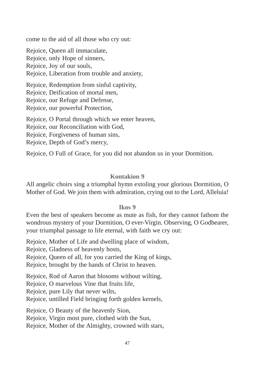come to the aid of all those who cry out:

Rejoice, Queen all immaculate, Rejoice, only Hope of sinners, Rejoice, Joy of our souls, Rejoice, Liberation from trouble and anxiety,

Rejoice, Redemption from sinful captivity, Rejoice, Deification of mortal men, Rejoice, our Refuge and Defense, Rejoice, our powerful Protection,

Rejoice, O Portal through which we enter heaven, Rejoice, our Reconciliation with God, Rejoice, Forgiveness of human sins, Rejoice, Depth of God's mercy,

Rejoice, O Full of Grace, for you did not abandon us in your Dormition.

## **Kontakion 9**

All angelic choirs sing a triumphal hymn extoling your glorious Dormition, O Mother of God. We join them with admiration, crying out to the Lord, Alleluia!

## **Ikos 9**

Even the best of speakers become as mute as fish, for they cannot fathom the wondrous mystery of your Dormition, O ever-Virgin. Observing, O Godbearer, your triumphal passage to life eternal, with faith we cry out:

Rejoice, Mother of Life and dwelling place of wisdom, Rejoice, Gladness of heavenly hosts, Rejoice, Queen of all, for you carried the King of kings, Rejoice, brought by the hands of Christ to heaven.

Rejoice, Rod of Aaron that blosoms without wilting,

Rejoice, O marvelous Vine that fruits life,

Rejoice, pure Lily that never wilts,

Rejoice, untilled Field bringing forth golden kernels,

Rejoice, O Beauty of the heavenly Sion,

Rejoice, Virgin most pure, clothed with the Sun,

Rejoice, Mother of the Almighty, crowned with stars,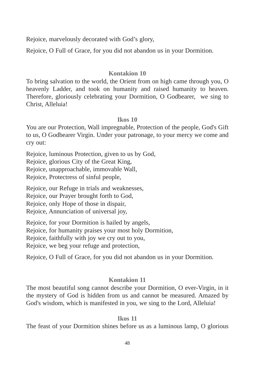Rejoice, marvelously decorated with God's glory,

Rejoice, O Full of Grace, for you did not abandon us in your Dormition.

## **Kontakion 10**

To bring salvation to the world, the Orient from on high came through you, O heavenly Ladder, and took on humanity and raised humanity to heaven. Therefore, gloriously celebrating your Dormition, O Godbearer, we sing to Christ, Alleluia!

## **Ikos 10**

You are our Protection, Wall impregnable, Protection of the people, God's Gift to us, O Godbearer Virgin. Under your patronage, to your mercy we come and cry out:

Rejoice, luminous Protection, given to us by God, Rejoice, glorious City of the Great King, Rejoice, unapproachable, immovable Wall, Rejoice, Protectress of sinful people,

Rejoice, our Refuge in trials and weaknesses, Rejoice, our Prayer brought forth to God, Rejoice, only Hope of those in dispair, Rejoice, Annunciation of universal joy,

Rejoice, for your Dormition is hailed by angels. Rejoice, for humanity praises your most holy Dormition, Rejoice, faithfully with joy we cry out to you, Rejoice, we beg your refuge and protection,

Rejoice, O Full of Grace, for you did not abandon us in your Dormition.

## **Kontakion 11**

The most beautiful song cannot describe your Dormition, O ever-Virgin, in it the mystery of God is hidden from us and cannot be measured. Amazed by God's wisdom, which is manifested in you, we sing to the Lord, Alleluia!

## **Ikos 11**

The feast of your Dormition shines before us as a luminous lamp, O glorious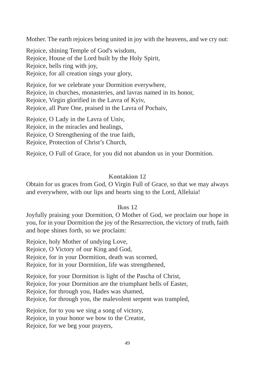Mother. The earth rejoices being united in joy with the heavens, and we cry out:

Rejoice, shining Temple of God's wisdom, Rejoice, House of the Lord built by the Holy Spirit, Rejoice, bells ring with joy, Rejoice, for all creation sings your glory,

Rejoice, for we celebrate your Dormition everywhere, Rejoice, in churches, monasteries, and lavras named in its honor, Rejoice, Virgin glorified in the Lavra of Kyiv, Rejoice, all Pure One, praised in the Lavra of Pochaiv,

Rejoice, O Lady in the Lavra of Univ, Rejoice, in the miracles and healings, Rejoice, O Strengthening of the true faith, Rejoice, Protection of Christ's Church,

Rejoice, O Full of Grace, for you did not abandon us in your Dormition.

## **Kontakion 12**

Obtain for us graces from God, O Virgin Full of Grace, so that we may always and everywhere, with our lips and hearts sing to the Lord, Alleluia!

## **Ikos 12**

Joyfully praising your Dormition, O Mother of God, we proclaim our hope in you, for in your Dormition the joy of the Resurrection, the victory of truth, faith and hope shines forth, so we proclaim:

Rejoice, holy Mother of undying Love, Rejoice, O Victory of our King and God, Rejoice, for in your Dormition, death was scorned, Rejoice, for in your Dormition, life was strengthened,

Rejoice, for your Dormition is light of the Pascha of Christ, Rejoice, for your Dormition are the triumphant bells of Easter, Rejoice, for through you, Hades was shamed, Rejoice, for through you, the malevolent serpent was trampled,

Rejoice, for to you we sing a song of victory, Rejoice, in your honor we bow to the Creator, Rejoice, for we beg your prayers,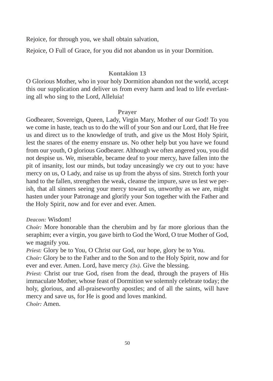Rejoice, for through you, we shall obtain salvation,

Rejoice, O Full of Grace, for you did not abandon us in your Dormition.

## **Kontakion 13**

O Glorious Mother, who in your holy Dormition abandon not the world, accept this our supplication and deliver us from every harm and lead to life everlasting all who sing to the Lord, Alleluia!

#### **Prayer**

Godbearer, Sovereign, Queen, Lady, Virgin Mary, Mother of our God! To you we come in haste, teach us to do the will of your Son and our Lord, that He free us and direct us to the knowledge of truth, and give us the Most Holy Spirit, lest the snares of the enemy ensnare us. No other help but you have we found from our youth, O glorious Godbearer. Although we often angered you, you did not despise us. We, miserable, became deaf to your mercy, have fallen into the pit of insanity, lost our minds, but today unceasingly we cry out to you: have mercy on us, O Lady, and raise us up from the abyss of sins. Stretch forth your hand to the fallen, strengthen the weak, cleanse the impure, save us lest we perish, that all sinners seeing your mercy toward us, unworthy as we are, might hasten under your Patronage and glorify your Son together with the Father and the Holy Spirit, now and for ever and ever. Amen.

## *Deacon:* Wisdom!

*Choir:* More honorable than the cherubim and by far more glorious than the seraphim; ever a virgin, you gave birth to God the Word, O true Mother of God, we magnify you.

*Priest:* Glory be to You, O Christ our God, our hope, glory be to You.

*Choir:* Glory be to the Father and to the Son and to the Holy Spirit, now and for ever and ever. Amen. Lord, have mercy *(3x).* Give the blessing.

*Priest:* Christ our true God, risen from the dead, through the prayers of His immaculate Mother, whose feast of Dormition we solemnly celebrate today; the holy, glorious, and all-praiseworthy apostles; and of all the saints, will have mercy and save us, for He is good and loves mankind. *Choir:* Amen.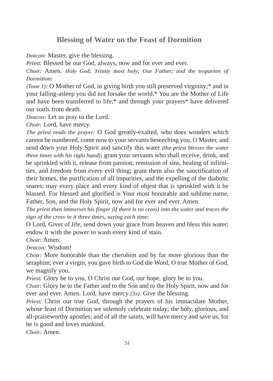## **Blessing of Water on the Feast of Dormition**

*Deacon:* Master, give the blessing.

*Priest:* Blessed be our God, always, now and for ever and ever.

*Choir:* Amen. *Holy God; Trinity most holy; Our Father; and the troparion of Dormition:*

*(Tone 1):* O Mother of God, in giving birth you still preserved virginity;\* and in your falling-asleep you did not forsake the world.\* You are the Mother of Life and have been transferred to life,\* and through your prayers\* have delivered our souls from death.

*Deacon:* Let us pray to the Lord.

*Choir:* Lord, have mercy.

*The priest reads the prayer:* O God greatly-exalted, who does wonders which cannot be numbered, come now to your servants beseeching you, O Master, and send down your Holy Spirit and sanctify this water *(the priest blesses the water three times with his right hand);* grant your servants who shall receive, drink, and be sprinkled with it, release from passion, remission of sins, healing of infirnities, and freedom from every evil thing; grant them also the sanctification of their homes, the purification of all impurities, and the expelling of the diabolic snares; may every place and every kind of objest that is sprinkled with it be blassed. For blessed and glorified is Your most honorable and sublime name, Father, Son, and the Holy Spirit, now and for ever and ever. Amen.

*The priest then immerses his finger (if there is no cross) into the water and traces the sign of the cross in it three times, saying each time:*

O Lord, Giver of life, send down your grace from heaven and bless this water; endow it with the power to wash every kind of stain.

*Choir:* Amen.

*Deacon:* Wisdom!

*Choir:* More honorable than the cherubim and by far more glorious than the seraphim; ever a virgin, you gave birth to God the Word, O true Mother of God, we magnify you.

*Priest:* Glory be to you, O Christ our God, our hope, glory be to you.

*Choir:* Glory be to the Father and to the Son and to the Holy Spirit, now and for ever and ever. Amen. Lord, have mercy *(3x).* Give the blessing.

*Priest:* Christ our true God, through the prayers of his immaculate Mother, whose feast of Dormition we solemnly celebrate today; the holy, glorious, and all-praiseworthy apostles; and of all the saints, will have mercy and save us, for he is good and loves mankind.

*Choir:* Amen.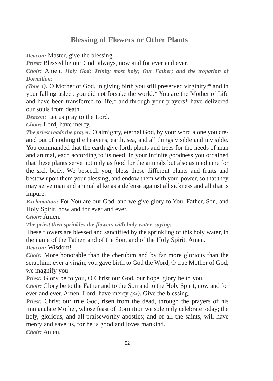## **Blessing of Flowers or Other Plants**

*Deacon:* Master, give the blessing.

*Priest:* Blessed be our God, always, now and for ever and ever.

*Choir:* Amen. *Holy God; Trinity most holy; Our Father; and the troparion of Dormition:*

*(Tone 1):* O Mother of God, in giving birth you still preserved virginity;\* and in your falling-asleep you did not forsake the world.\* You are the Mother of Life and have been transferred to life,\* and through your prayers\* have delivered our souls from death.

*Deacon:* Let us pray to the Lord.

*Choir:* Lord, have mercy.

*The priest reads the prayer:* O almighty, eternal God, by your word alone you created out of nothing the heavens, earth, sea, and all things visible and invisible. You commanded that the earth give forth plants and trees for the needs of man and animal, each according to its need. In your infinite goodness you ordained that these plants serve not only as food for the animals but also as medicine for the sick body. We beseech you, bless these different plants and fruits and bestow upon them your blessing, and endow them with your power, so that they may serve man and animal alike as a defense against all sickness and all that is impure.

*Exclamation:* For You are our God, and we give glory to You, Father, Son, and Holy Spirit, now and for ever and ever.

*Choir:* Amen.

*The priest then sprinkles the flowers with holy water, saying:*

These flowers are blessed and sanctified by the sprinkling of this holy water, in the name of the Father, and of the Son, and of the Holy Spirit. Amen.

*Deacon:* Wisdom!

*Choir:* More honorable than the cherubim and by far more glorious than the seraphim; ever a virgin, you gave birth to God the Word, O true Mother of God, we magnify you.

*Priest:* Glory be to you, O Christ our God, our hope, glory be to you.

*Choir:* Glory be to the Father and to the Son and to the Holy Spirit, now and for ever and ever. Amen. Lord, have mercy *(3x).* Give the blessing.

*Priest:* Christ our true God, risen from the dead, through the prayers of his immaculate Mother, whose feast of Dormition we solemnly celebrate today; the holy, glorious, and all-praiseworthy apostles; and of all the saints, will have mercy and save us, for he is good and loves mankind.

*Choir:* Amen.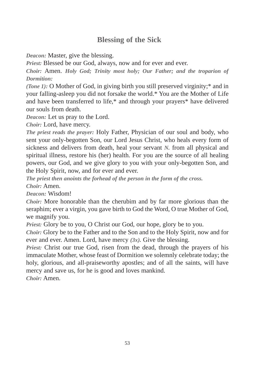## **Blessing of the Sick**

*Deacon:* Master, give the blessing.

*Priest:* Blessed be our God, always, now and for ever and ever.

*Choir:* Amen. *Holy God; Trinity most holy; Our Father; and the troparion of Dormition:*

*(Tone 1):* O Mother of God, in giving birth you still preserved virginity;\* and in your falling-asleep you did not forsake the world.\* You are the Mother of Life and have been transferred to life,\* and through your prayers\* have delivered our souls from death.

*Deacon:* Let us pray to the Lord.

*Choir:* Lord, have mercy.

*The priest reads the prayer:* Holy Father, Physician of our soul and body, who sent your only-begotten Son, our Lord Jesus Christ, who heals every form of sickness and delivers from death, heal your servant *N.* from all physical and spiritual illness, restore his (her) health. For you are the source of all healing powers, our God, and we give glory to you with your only-begotten Son, and the Holy Spirit, now, and for ever and ever.

*The priest then anoints the forhead of the person in the form of the cross. Choir:* Amen.

*Deacon:* Wisdom!

*Choir:* More honorable than the cherubim and by far more glorious than the seraphim; ever a virgin, you gave birth to God the Word, O true Mother of God, we magnify you.

*Priest:* Glory be to you, O Christ our God, our hope, glory be to you.

*Choir:* Glory be to the Father and to the Son and to the Holy Spirit, now and for ever and ever. Amen. Lord, have mercy *(3x).* Give the blessing.

*Priest:* Christ our true God, risen from the dead, through the prayers of his immaculate Mother, whose feast of Dormition we solemnly celebrate today; the holy, glorious, and all-praiseworthy apostles; and of all the saints, will have mercy and save us, for he is good and loves mankind. *Choir:* Amen.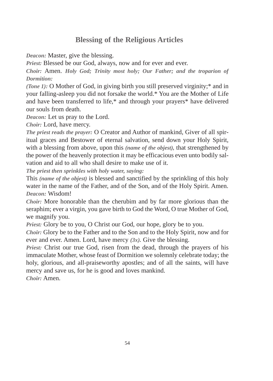## **Blessing of the Religious Articles**

*Deacon:* Master, give the blessing.

*Priest:* Blessed be our God, always, now and for ever and ever.

*Choir:* Amen. *Holy God; Trinity most holy; Our Father; and the troparion of Dormition:*

*(Tone 1):* O Mother of God, in giving birth you still preserved virginity;\* and in your falling-asleep you did not forsake the world.\* You are the Mother of Life and have been transferred to life,\* and through your prayers\* have delivered our souls from death.

*Deacon:* Let us pray to the Lord.

*Choir:* Lord, have mercy.

*The priest reads the prayer:* O Creator and Author of mankind, Giver of all spiritual graces and Bestower of eternal salvation, send down your Holy Spirit, with a blessing from above, upon this *(name of the objest),* that strengthened by the power of the heavenly protection it may be efficacious even unto bodily salvation and aid to all who shall desire to make use of it.

*The priest then sprinkles with holy water, saying:*

This *(name of the objest)* is blessed and sanctified by the sprinkling of this holy water in the name of the Father, and of the Son, and of the Holy Spirit. Amen. *Deacon:* Wisdom!

*Choir:* More honorable than the cherubim and by far more glorious than the seraphim; ever a virgin, you gave birth to God the Word, O true Mother of God, we magnify you.

*Priest:* Glory be to you, O Christ our God, our hope, glory be to you.

*Choir:* Glory be to the Father and to the Son and to the Holy Spirit, now and for ever and ever. Amen. Lord, have mercy *(3x).* Give the blessing.

*Priest:* Christ our true God, risen from the dead, through the prayers of his immaculate Mother, whose feast of Dormition we solemnly celebrate today; the holy, glorious, and all-praiseworthy apostles; and of all the saints, will have mercy and save us, for he is good and loves mankind.

*Choir:* Amen.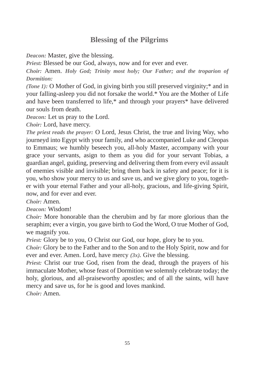## **Blessing of the Pilgrims**

*Deacon:* Master, give the blessing.

*Priest:* Blessed be our God, always, now and for ever and ever.

*Choir:* Amen. *Holy God; Trinity most holy; Our Father; and the troparion of Dormition:*

*(Tone 1):* O Mother of God, in giving birth you still preserved virginity;\* and in your falling-asleep you did not forsake the world.\* You are the Mother of Life and have been transferred to life,\* and through your prayers\* have delivered our souls from death.

*Deacon:* Let us pray to the Lord.

*Choir:* Lord, have mercy.

*The priest reads the prayer:* O Lord, Jesus Christ, the true and living Way, who journeyd into Egypt with your family, and who accompanied Luke and Cleopas to Emmaus; we humbly beseech you, all-holy Master, accompany with your grace your servants, asign to them as you did for your servant Tobias, a guardian angel, guiding, preserving and delivering them from every evil assault of enemies visible and invisible; bring them back in safety and peace; for it is you, who show your mercy to us and save us, and we give glory to you, together with your eternal Father and your all-holy, gracious, and life-giving Spirit, now, and for ever and ever.

*Choir:* Amen.

*Deacon:* Wisdom!

*Choir:* More honorable than the cherubim and by far more glorious than the seraphim; ever a virgin, you gave birth to God the Word, O true Mother of God, we magnify you.

*Priest:* Glory be to you, O Christ our God, our hope, glory be to you.

*Choir:* Glory be to the Father and to the Son and to the Holy Spirit, now and for ever and ever. Amen. Lord, have mercy *(3x).* Give the blessing.

*Priest:* Christ our true God, risen from the dead, through the prayers of his immaculate Mother, whose feast of Dormition we solemnly celebrate today; the holy, glorious, and all-praiseworthy apostles; and of all the saints, will have mercy and save us, for he is good and loves mankind. *Choir:* Amen.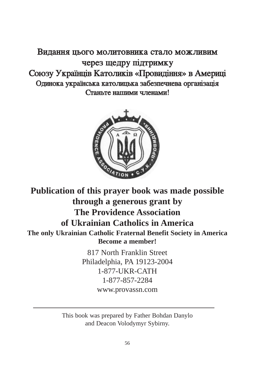Видання цього молитовника стало можливим через щедру підтримку Союзу Українців Католиків «Провидіння» в Америці Одинока українська католицька забезпечнева організація Станьте нашими членами!



**Publication of this prayer book was made possible through a generous grant by The Providence Association of Ukrainian Catholics in America The only Ukrainian Catholic Fraternal Benefit Society in America Become a member!**

> 817 North Franklin Street Philadelphia, PA 19123-2004 1-877-UKR-CATH 1-877-857-2284

www.provassn.com

This book was prepared by Father Bohdan Danylo and Deacon Volodymyr Sybirny.